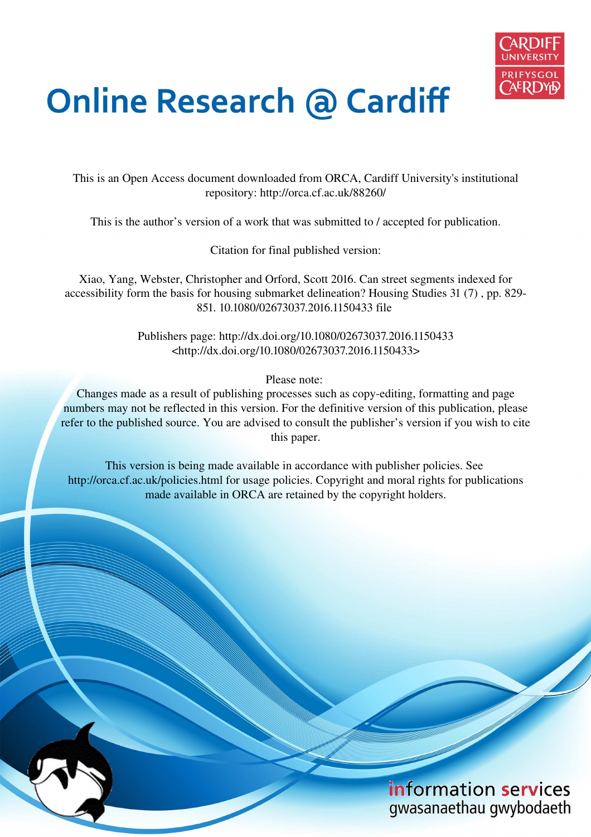

# **Online Research @ Cardiff**

This is an Open Access document downloaded from ORCA, Cardiff University's institutional repository: http://orca.cf.ac.uk/88260/

This is the author's version of a work that was submitted to / accepted for publication.

Citation for final published version:

Xiao, Yang, Webster, Christopher and Orford, Scott 2016. Can street segments indexed for accessibility form the basis for housing submarket delineation? Housing Studies 31 (7) , pp. 829- 851. 10.1080/02673037.2016.1150433 file

> Publishers page: http://dx.doi.org/10.1080/02673037.2016.1150433 <http://dx.doi.org/10.1080/02673037.2016.1150433>

> > Please note:

Changes made as a result of publishing processes such as copy-editing, formatting and page numbers may not be reflected in this version. For the definitive version of this publication, please refer to the published source. You are advised to consult the publisher's version if you wish to cite this paper.

This version is being made available in accordance with publisher policies. See http://orca.cf.ac.uk/policies.html for usage policies. Copyright and moral rights for publications made available in ORCA are retained by the copyright holders.

## information services gwasanaethau gwybodaeth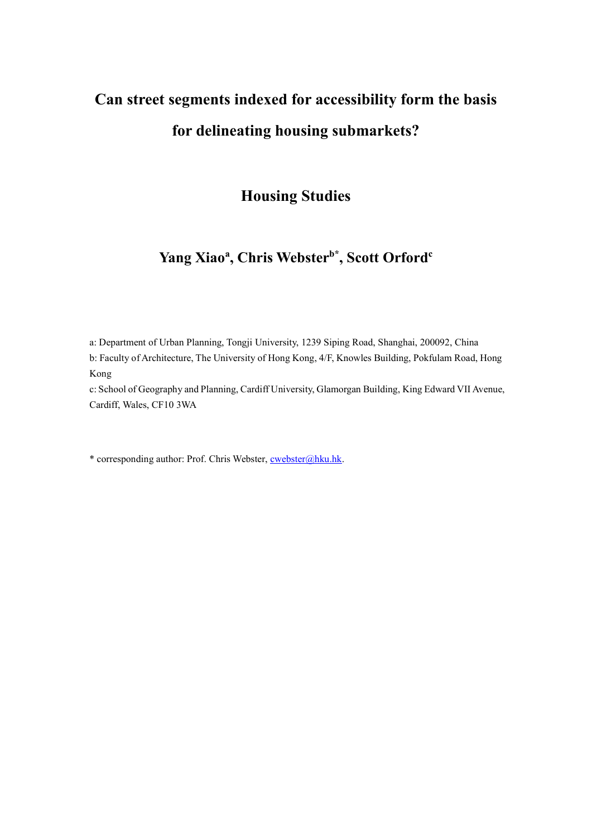## **Can street segments indexed for accessibility form the basis for delineating housing submarkets?**

## **Housing Studies**

### **Yang Xiao<sup>a</sup> , Chris Websterb\*, Scott Orford<sup>c</sup>**

a: Department of Urban Planning, Tongji University, 1239 Siping Road, Shanghai, 200092, China b: Faculty of Architecture, The University of Hong Kong, 4/F, Knowles Building, Pokfulam Road, Hong Kong

c: School of Geography and Planning, Cardiff University, Glamorgan Building, King Edward VII Avenue, Cardiff, Wales, CF10 3WA

\* corresponding author: Prof. Chris Webster, [cwebster@hku.hk.](mailto:cwebster@hku.hk)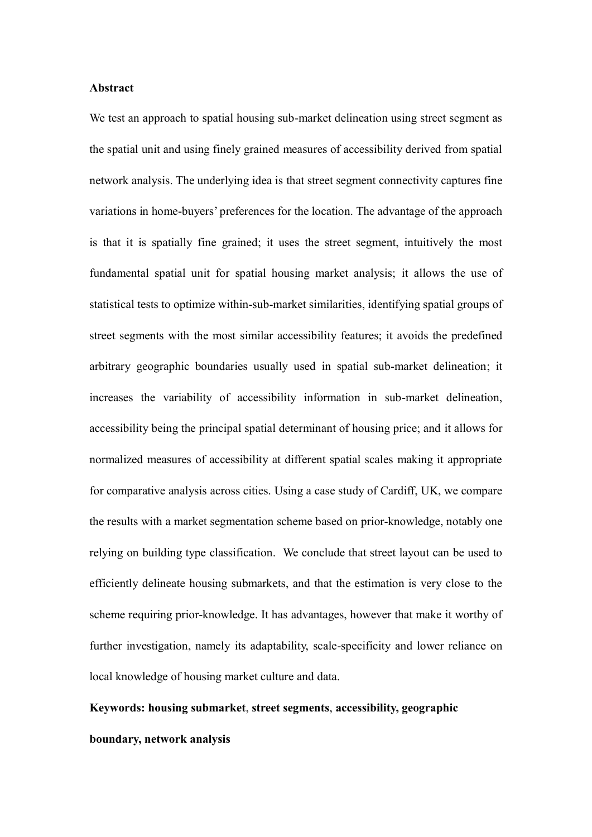#### **Abstract**

We test an approach to spatial housing sub-market delineation using street segment as the spatial unit and using finely grained measures of accessibility derived from spatial network analysis. The underlying idea is that street segment connectivity captures fine variations in home-buyers' preferences for the location. The advantage of the approach is that it is spatially fine grained; it uses the street segment, intuitively the most fundamental spatial unit for spatial housing market analysis; it allows the use of statistical tests to optimize within-sub-market similarities, identifying spatial groups of street segments with the most similar accessibility features; it avoids the predefined arbitrary geographic boundaries usually used in spatial sub-market delineation; it increases the variability of accessibility information in sub-market delineation, accessibility being the principal spatial determinant of housing price; and it allows for normalized measures of accessibility at different spatial scales making it appropriate for comparative analysis across cities. Using a case study of Cardiff, UK, we compare the results with a market segmentation scheme based on prior-knowledge, notably one relying on building type classification. We conclude that street layout can be used to efficiently delineate housing submarkets, and that the estimation is very close to the scheme requiring prior-knowledge. It has advantages, however that make it worthy of further investigation, namely its adaptability, scale-specificity and lower reliance on local knowledge of housing market culture and data.

**Keywords: housing submarket**, **street segments**, **accessibility, geographic** 

#### **boundary, network analysis**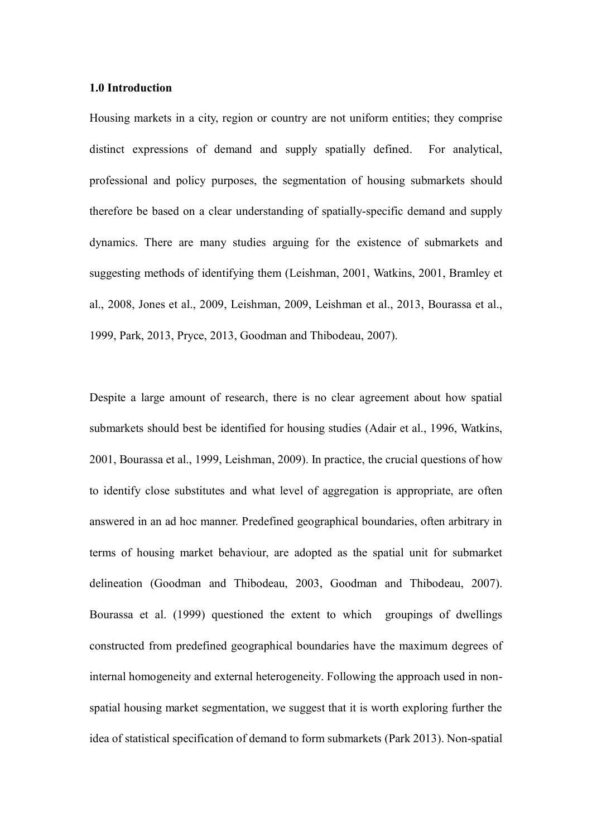#### **1.0 Introduction**

Housing markets in a city, region or country are not uniform entities; they comprise distinct expressions of demand and supply spatially defined. For analytical, professional and policy purposes, the segmentation of housing submarkets should therefore be based on a clear understanding of spatially-specific demand and supply dynamics. There are many studies arguing for the existence of submarkets and suggesting methods of identifying them [\(Leishman, 2001,](#page-32-0) [Watkins, 2001,](#page-33-0) [Bramley et](#page-31-0)  [al., 2008,](#page-31-0) [Jones et al., 2009,](#page-32-1) [Leishman, 2009,](#page-32-2) [Leishman et al., 2013,](#page-32-3) [Bourassa et al.,](#page-31-1)  [1999,](#page-31-1) [Park, 2013,](#page-32-4) [Pryce, 2013,](#page-33-1) [Goodman and Thibodeau, 2007\)](#page-31-2).

Despite a large amount of research, there is no clear agreement about how spatial submarkets should best be identified for housing studies [\(Adair et al., 1996,](#page-31-3) [Watkins,](#page-33-0)  [2001,](#page-33-0) [Bourassa et al., 1999,](#page-31-1) [Leishman, 2009\)](#page-32-2). In practice, the crucial questions of how to identify close substitutes and what level of aggregation is appropriate, are often answered in an ad hoc manner. Predefined geographical boundaries, often arbitrary in terms of housing market behaviour, are adopted as the spatial unit for submarket delineation [\(Goodman and Thibodeau, 2003,](#page-31-4) [Goodman and Thibodeau, 2007\)](#page-31-2). [Bourassa et al. \(1999\)](#page-31-1) questioned the extent to which groupings of dwellings constructed from predefined geographical boundaries have the maximum degrees of internal homogeneity and external heterogeneity. Following the approach used in nonspatial housing market segmentation, we suggest that it is worth exploring further the idea of statistical specification of demand to form submarkets (Park 2013). Non-spatial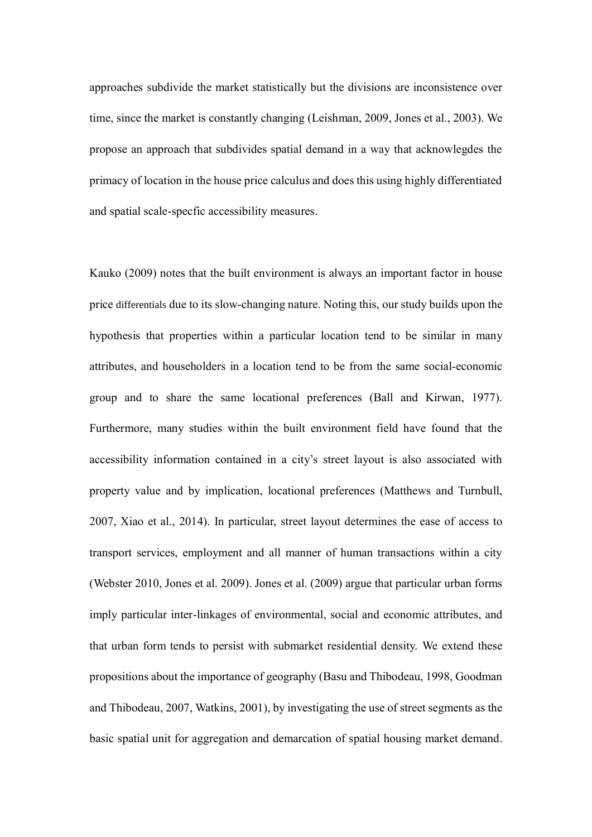approaches subdivide the market statistically but the divisions are inconsistence over time, since the market is constantly changing [\(Leishman, 2009,](#page-32-2) [Jones et al., 2003\)](#page-32-5). We propose an approach that subdivides spatial demand in a way that acknowlegdes the primacy of location in the house price calculus and does this using highly differentiated and spatial scale-specfic accessibility measures.

Kauko [\(2009\)](#page-32-6) notes that the built environment is always an important factor in house price differentials due to its slow-changing nature. Noting this, our study builds upon the hypothesis that properties within a particular location tend to be similar in many attributes, and householders in a location tend to be from the same social-economic group and to share the same locational preferences (Ball and Kirwan, 1977). Furthermore, many studies within the built environment field have found that the accessibility information contained in a city's street layout is also associated with property value and by implication, locational preferences [\(Matthews and Turnbull,](#page-32-7)  [2007,](#page-32-7) [Xiao et al., 2014\)](#page-33-2). In particular, street layout determines the ease of access to transport services, employment and all manner of human transactions within a city (Webster 2010, Jones et al. 2009). [Jones et al. \(2009\)](#page-32-1) argue that particular urban forms imply particular inter-linkages of environmental, social and economic attributes, and that urban form tends to persist with submarket residential density. We extend these propositions about the importance of geography [\(Basu and Thibodeau, 1998,](#page-31-5) [Goodman](#page-31-2)  [and Thibodeau, 2007,](#page-31-2) [Watkins, 2001\)](#page-33-0), by investigating the use of street segments as the basic spatial unit for aggregation and demarcation of spatial housing market demand.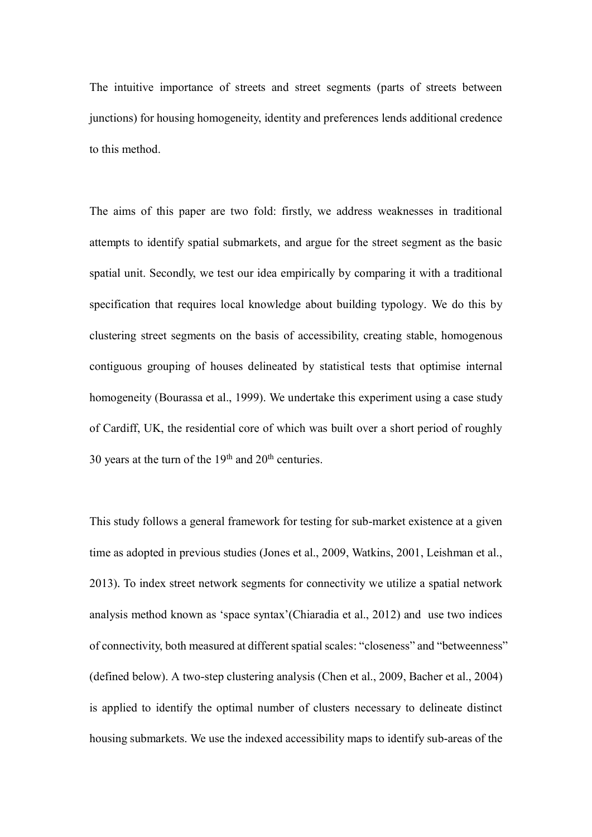The intuitive importance of streets and street segments (parts of streets between junctions) for housing homogeneity, identity and preferences lends additional credence to this method.

The aims of this paper are two fold: firstly, we address weaknesses in traditional attempts to identify spatial submarkets, and argue for the street segment as the basic spatial unit. Secondly, we test our idea empirically by comparing it with a traditional specification that requires local knowledge about building typology. We do this by clustering street segments on the basis of accessibility, creating stable, homogenous contiguous grouping of houses delineated by statistical tests that optimise internal homogeneity [\(Bourassa et al., 1999\)](#page-31-1). We undertake this experiment using a case study of Cardiff, UK, the residential core of which was built over a short period of roughly 30 years at the turn of the  $19<sup>th</sup>$  and  $20<sup>th</sup>$  centuries.

This study follows a general framework for testing for sub-market existence at a given time as adopted in previous studies [\(Jones et al., 2009,](#page-32-1) [Watkins, 2001,](#page-33-0) [Leishman et al.,](#page-32-3)  [2013\)](#page-32-3). To index street network segments for connectivity we utilize a spatial network analysis method known as 'space syntax'[\(Chiaradia et al., 2012\)](#page-31-6) and use two indices of connectivity, both measured at different spatial scales: "closeness" and "betweenness" (defined below). A two-step clustering analysis [\(Chen et al., 2009,](#page-31-7) [Bacher et al., 2004\)](#page-31-8) is applied to identify the optimal number of clusters necessary to delineate distinct housing submarkets. We use the indexed accessibility maps to identify sub-areas of the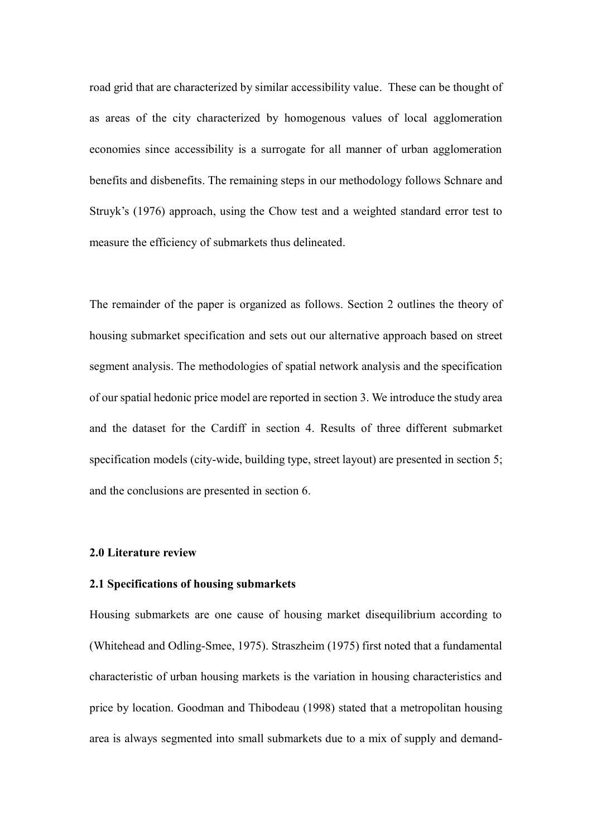road grid that are characterized by similar accessibility value. These can be thought of as areas of the city characterized by homogenous values of local agglomeration economies since accessibility is a surrogate for all manner of urban agglomeration benefits and disbenefits. The remaining steps in our methodology follows Schnare and Struyk's [\(1976\)](#page-33-3) approach, using the Chow test and a weighted standard error test to measure the efficiency of submarkets thus delineated.

The remainder of the paper is organized as follows. Section 2 outlines the theory of housing submarket specification and sets out our alternative approach based on street segment analysis. The methodologies of spatial network analysis and the specification of our spatial hedonic price model are reported in section 3. We introduce the study area and the dataset for the Cardiff in section 4. Results of three different submarket specification models (city-wide, building type, street layout) are presented in section 5; and the conclusions are presented in section 6.

#### **2.0 Literature review**

#### **2.1 Specifications of housing submarkets**

Housing submarkets are one cause of housing market disequilibrium according to [\(Whitehead and Odling-Smee, 1975\)](#page-33-4). Straszheim [\(1975\)](#page-33-5) first noted that a fundamental characteristic of urban housing markets is the variation in housing characteristics and price by location. Goodman and Thibodeau [\(1998\)](#page-31-9) stated that a metropolitan housing area is always segmented into small submarkets due to a mix of supply and demand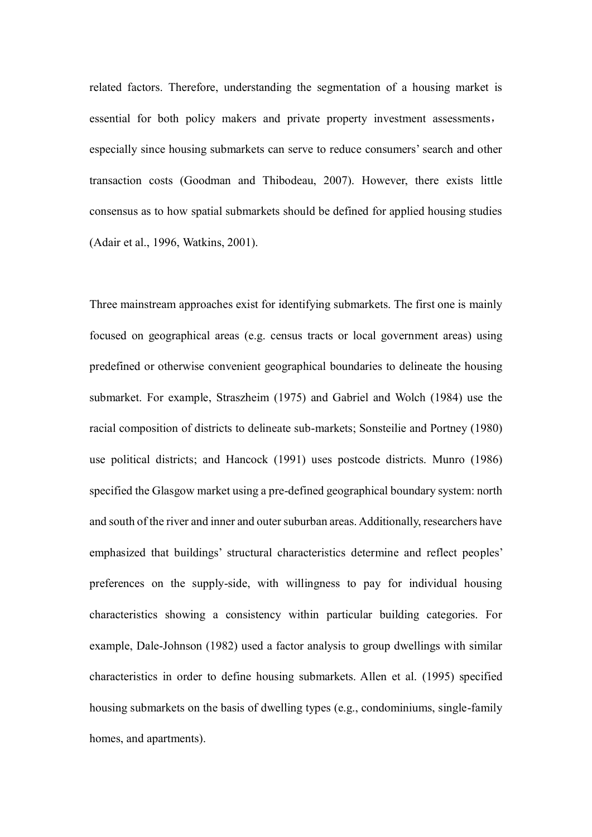related factors. Therefore, understanding the segmentation of a housing market is essential for both policy makers and private property investment assessments, especially since housing submarkets can serve to reduce consumers' search and other transaction costs [\(Goodman and Thibodeau, 2007\)](#page-31-2). However, there exists little consensus as to how spatial submarkets should be defined for applied housing studies [\(Adair et al., 1996,](#page-31-3) [Watkins, 2001\)](#page-33-0).

Three mainstream approaches exist for identifying submarkets. The first one is mainly focused on geographical areas (e.g. census tracts or local government areas) using predefined or otherwise convenient geographical boundaries to delineate the housing submarket. For example, Straszheim [\(1975\)](#page-33-5) and [Gabriel and Wolch \(1984\)](#page-31-10) use the racial composition of districts to delineate sub-markets; Sonsteilie and Portney [\(1980\)](#page-33-6) use political districts; and Hancock [\(1991\)](#page-31-11) uses postcode districts. Munro [\(1986\)](#page-32-8) specified the Glasgow market using a pre-defined geographical boundary system: north and south of the river and inner and outer suburban areas. Additionally, researchers have emphasized that buildings' structural characteristics determine and reflect peoples' preferences on the supply-side, with willingness to pay for individual housing characteristics showing a consistency within particular building categories. For example, Dale-Johnson [\(1982\)](#page-31-12) used a factor analysis to group dwellings with similar characteristics in order to define housing submarkets. Allen et al. [\(1995\)](#page-31-13) specified housing submarkets on the basis of dwelling types (e.g., condominiums, single-family homes, and apartments).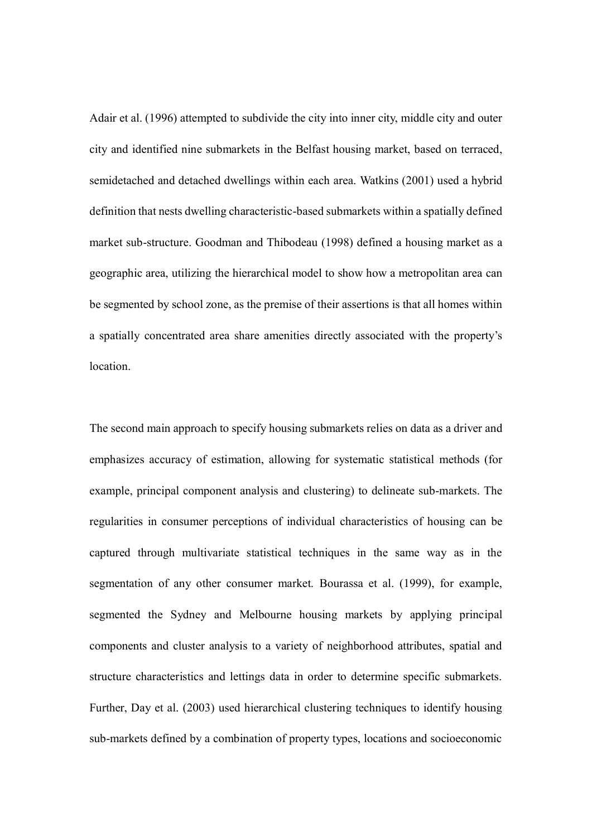Adair et al. [\(1996\)](#page-31-3) attempted to subdivide the city into inner city, middle city and outer city and identified nine submarkets in the Belfast housing market, based on terraced, semidetached and detached dwellings within each area. Watkins [\(2001\)](#page-33-0) used a hybrid definition that nests dwelling characteristic-based submarkets within a spatially defined market sub-structure. Goodman and Thibodeau [\(1998\)](#page-31-9) defined a housing market as a geographic area, utilizing the hierarchical model to show how a metropolitan area can be segmented by school zone, as the premise of their assertions is that all homes within a spatially concentrated area share amenities directly associated with the property's location.

The second main approach to specify housing submarkets relies on data as a driver and emphasizes accuracy of estimation, allowing for systematic statistical methods (for example, principal component analysis and clustering) to delineate sub-markets. The regularities in consumer perceptions of individual characteristics of housing can be captured through multivariate statistical techniques in the same way as in the segmentation of any other consumer market. Bourassa et al. [\(1999\)](#page-31-1), for example, segmented the Sydney and Melbourne housing markets by applying principal components and cluster analysis to a variety of neighborhood attributes, spatial and structure characteristics and lettings data in order to determine specific submarkets. Further, [Day et al. \(2003\)](#page-31-14) used hierarchical clustering techniques to identify housing sub-markets defined by a combination of property types, locations and socioeconomic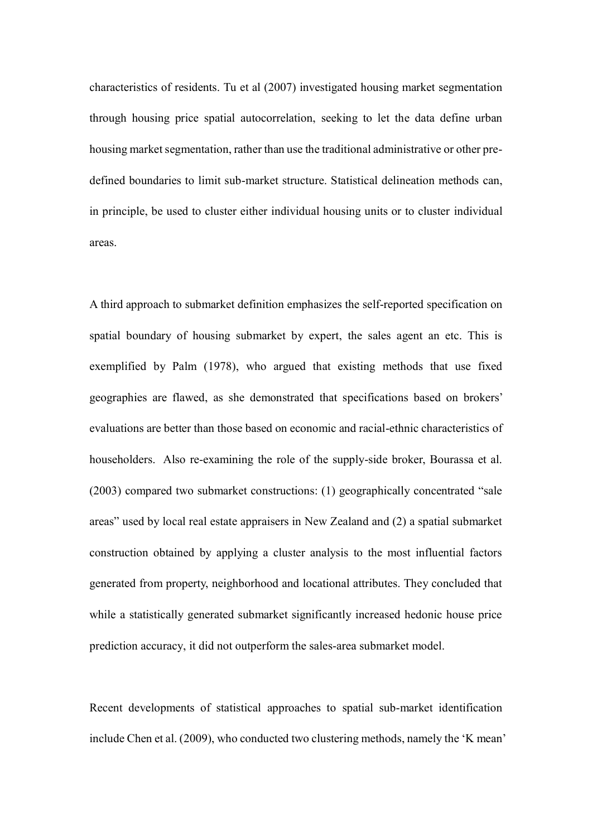characteristics of residents. Tu et al [\(2007\)](#page-33-7) investigated housing market segmentation through housing price spatial autocorrelation, seeking to let the data define urban housing market segmentation, rather than use the traditional administrative or other predefined boundaries to limit sub-market structure. Statistical delineation methods can, in principle, be used to cluster either individual housing units or to cluster individual areas.

A third approach to submarket definition emphasizes the self-reported specification on spatial boundary of housing submarket by expert, the sales agent an etc. This is exemplified by [Palm \(1978\)](#page-32-9), who argued that existing methods that use fixed geographies are flawed, as she demonstrated that specifications based on brokers' evaluations are better than those based on economic and racial-ethnic characteristics of householders. Also re-examining the role of the supply-side broker, Bourassa et al. [\(2003\)](#page-31-15) compared two submarket constructions: (1) geographically concentrated "sale areas" used by local real estate appraisers in New Zealand and (2) a spatial submarket construction obtained by applying a cluster analysis to the most influential factors generated from property, neighborhood and locational attributes. They concluded that while a statistically generated submarket significantly increased hedonic house price prediction accuracy, it did not outperform the sales-area submarket model.

Recent developments of statistical approaches to spatial sub-market identification include [Chen et al. \(2009\)](#page-31-7), who conducted two clustering methods, namely the 'K mean'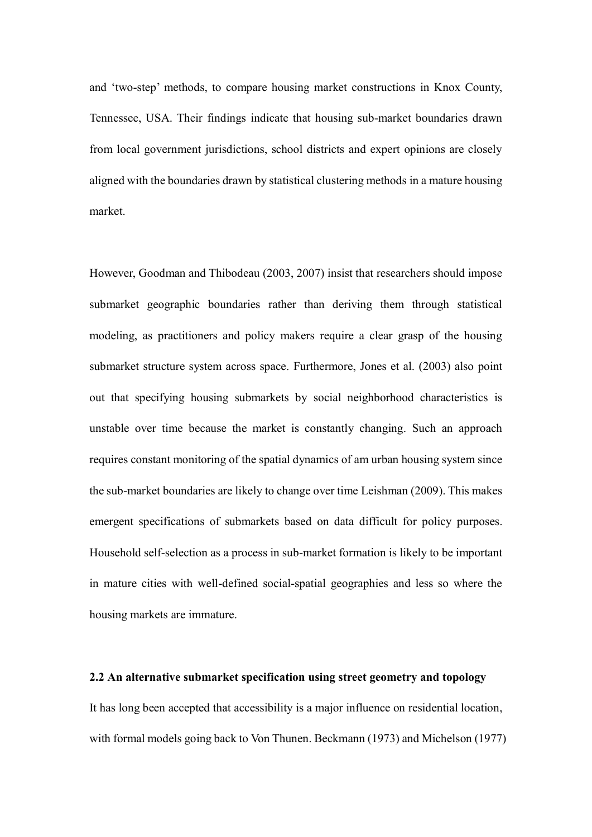and 'two-step' methods, to compare housing market constructions in Knox County, Tennessee, USA. Their findings indicate that housing sub-market boundaries drawn from local government jurisdictions, school districts and expert opinions are closely aligned with the boundaries drawn by statistical clustering methods in a mature housing market.

However, Goodman and Thibodeau [\(2003,](#page-31-4) [2007\)](#page-31-2) insist that researchers should impose submarket geographic boundaries rather than deriving them through statistical modeling, as practitioners and policy makers require a clear grasp of the housing submarket structure system across space. Furthermore, Jones et al. [\(2003\)](#page-32-5) also point out that specifying housing submarkets by social neighborhood characteristics is unstable over time because the market is constantly changing. Such an approach requires constant monitoring of the spatial dynamics of am urban housing system since the sub-market boundaries are likely to change over time [Leishman \(2009\)](#page-32-2). This makes emergent specifications of submarkets based on data difficult for policy purposes. Household self-selection as a process in sub-market formation is likely to be important in mature cities with well-defined social-spatial geographies and less so where the housing markets are immature.

#### **2.2 An alternative submarket specification using street geometry and topology**

It has long been accepted that accessibility is a major influence on residential location, with formal models going back to Von Thunen. Beckmann (1973) and Michelson (1977)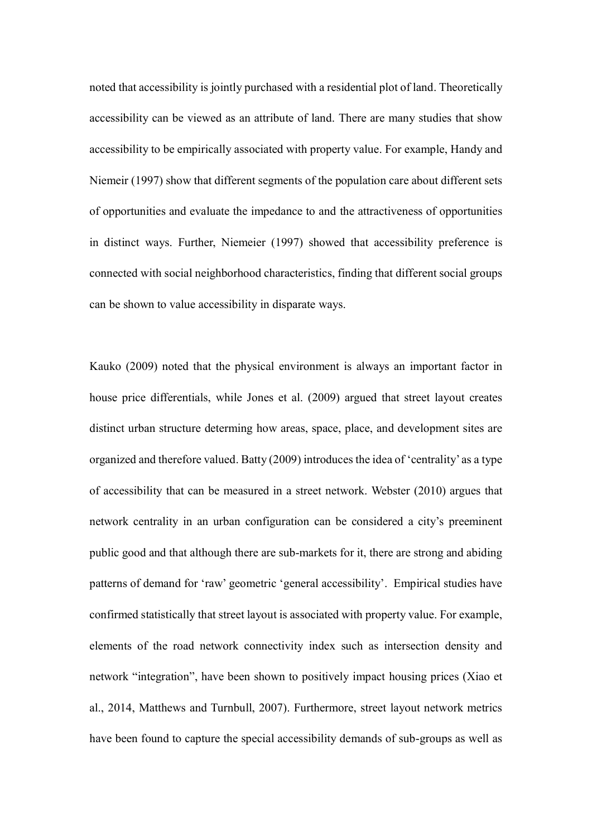noted that accessibility is jointly purchased with a residential plot of land. Theoretically accessibility can be viewed as an attribute of land. There are many studies that show accessibility to be empirically associated with property value. For example, Handy and Niemeir [\(1997\)](#page-32-10) show that different segments of the population care about different sets of opportunities and evaluate the impedance to and the attractiveness of opportunities in distinct ways. Further, Niemeier [\(1997\)](#page-32-11) showed that accessibility preference is connected with social neighborhood characteristics, finding that different social groups can be shown to value accessibility in disparate ways.

Kauko [\(2009\)](#page-32-6) noted that the physical environment is always an important factor in house price differentials, while Jones et al. (2009) argued that street layout creates distinct urban structure determing how areas, space, place, and development sites are organized and therefore valued. Batty (2009) introduces the idea of 'centrality' as a type of accessibility that can be measured in a street network. Webster [\(2010\)](#page-33-8) argues that network centrality in an urban configuration can be considered a city's preeminent public good and that although there are sub-markets for it, there are strong and abiding patterns of demand for 'raw' geometric 'general accessibility'. Empirical studies have confirmed statistically that street layout is associated with property value. For example, elements of the road network connectivity index such as intersection density and network "integration", have been shown to positively impact housing prices [\(Xiao et](#page-33-2)  [al., 2014,](#page-33-2) [Matthews and Turnbull, 2007\)](#page-32-7). Furthermore, street layout network metrics have been found to capture the special accessibility demands of sub-groups as well as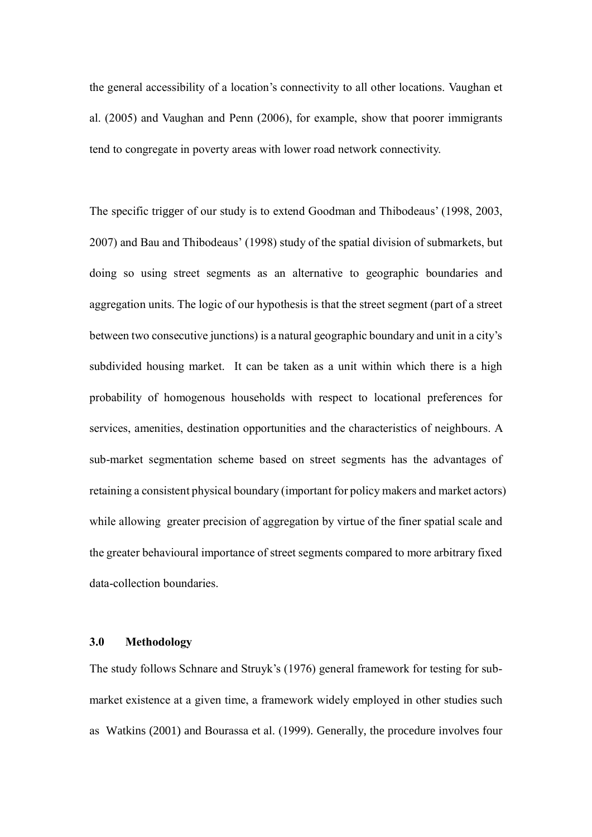the general accessibility of a location's connectivity to all other locations. Vaughan et al. [\(2005\)](#page-33-9) and Vaughan and Penn [\(2006\)](#page-33-10), for example, show that poorer immigrants tend to congregate in poverty areas with lower road network connectivity.

The specific trigger of our study is to extend Goodman and Thibodeaus' (1998, 2003, 2007) and Bau and Thibodeaus' [\(1998\)](#page-31-5) study of the spatial division of submarkets, but doing so using street segments as an alternative to geographic boundaries and aggregation units. The logic of our hypothesis is that the street segment (part of a street between two consecutive junctions) is a natural geographic boundary and unit in a city's subdivided housing market. It can be taken as a unit within which there is a high probability of homogenous households with respect to locational preferences for services, amenities, destination opportunities and the characteristics of neighbours. A sub-market segmentation scheme based on street segments has the advantages of retaining a consistent physical boundary (important for policy makers and market actors) while allowing greater precision of aggregation by virtue of the finer spatial scale and the greater behavioural importance of street segments compared to more arbitrary fixed data-collection boundaries.

#### **3.0 Methodology**

The study follows Schnare and Struyk's [\(1976\)](#page-33-3) general framework for testing for submarket existence at a given time, a framework widely employed in other studies such as Watkins [\(2001\)](#page-33-0) and Bourassa et al. [\(1999\)](#page-31-1). Generally, the procedure involves four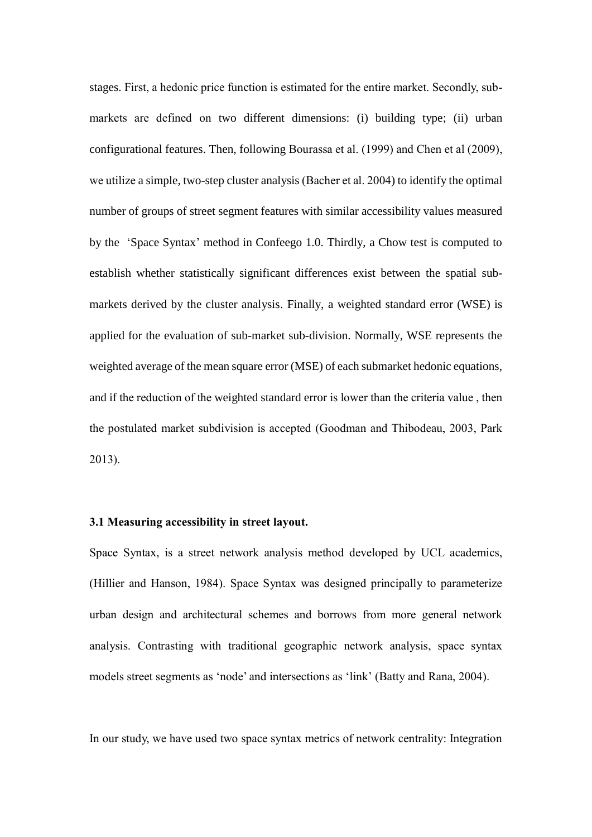stages. First, a hedonic price function is estimated for the entire market. Secondly, submarkets are defined on two different dimensions: (i) building type; (ii) urban configurational features. Then, following Bourassa et al. [\(1999\)](#page-31-1) and Chen et al (2009), we utilize a simple, two-step cluster analysis (Bacher et al. 2004) to identify the optimal number of groups of street segment features with similar accessibility values measured by the 'Space Syntax' method in Confeego 1.0. Thirdly, a Chow test is computed to establish whether statistically significant differences exist between the spatial submarkets derived by the cluster analysis. Finally, a weighted standard error (WSE) is applied for the evaluation of sub-market sub-division. Normally, WSE represents the weighted average of the mean square error (MSE) of each submarket hedonic equations, and if the reduction of the weighted standard error is lower than the criteria value , then the postulated market subdivision is accepted [\(Goodman and Thibodeau, 2003,](#page-31-4) Park 2013).

#### **3.1 Measuring accessibility in street layout.**

Space Syntax, is a street network analysis method developed by UCL academics, [\(Hillier and Hanson, 1984\)](#page-32-12). Space Syntax was designed principally to parameterize urban design and architectural schemes and borrows from more general network analysis. Contrasting with traditional geographic network analysis, space syntax models street segments as 'node' and intersections as 'link' [\(Batty and Rana, 2004\)](#page-31-16).

In our study, we have used two space syntax metrics of network centrality: Integration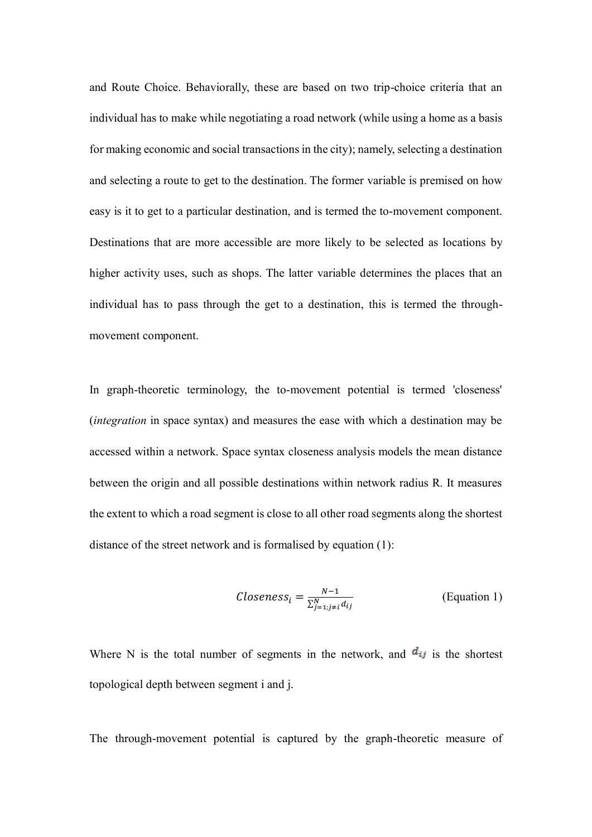and Route Choice. Behaviorally, these are based on two trip-choice criteria that an individual has to make while negotiating a road network (while using a home as a basis for making economic and social transactions in the city); namely, selecting a destination and selecting a route to get to the destination. The former variable is premised on how easy is it to get to a particular destination, and is termed the to-movement component. Destinations that are more accessible are more likely to be selected as locations by higher activity uses, such as shops. The latter variable determines the places that an individual has to pass through the get to a destination, this is termed the throughmovement component.

In graph-theoretic terminology, the to-movement potential is termed 'closeness' (*integration* in space syntax) and measures the ease with which a destination may be accessed within a network. Space syntax closeness analysis models the mean distance between the origin and all possible destinations within network radius R. It measures the extent to which a road segment is close to all other road segments along the shortest distance of the street network and is formalised by equation (1):

$$
Closeness_i = \frac{N-1}{\sum_{j=1;j\neq i}^{N} d_{ij}} \tag{Equation 1}
$$

Where N is the total number of segments in the network, and  $d_{ij}$  is the shortest topological depth between segment i and j.

The through-movement potential is captured by the graph-theoretic measure of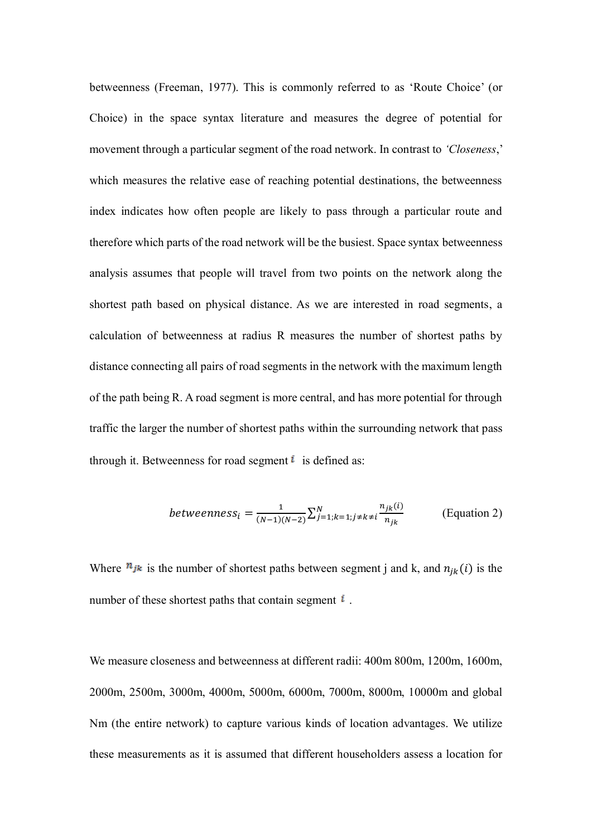betweenness (Freeman, 1977). This is commonly referred to as 'Route Choice' (or Choice) in the space syntax literature and measures the degree of potential for movement through a particular segment of the road network. In contrast to *'Closeness*,' which measures the relative ease of reaching potential destinations, the betweenness index indicates how often people are likely to pass through a particular route and therefore which parts of the road network will be the busiest. Space syntax betweenness analysis assumes that people will travel from two points on the network along the shortest path based on physical distance. As we are interested in road segments, a calculation of betweenness at radius R measures the number of shortest paths by distance connecting all pairs of road segments in the network with the maximum length of the path being R. A road segment is more central, and has more potential for through traffic the larger the number of shortest paths within the surrounding network that pass through it. Betweenness for road segment  $\mathbf{i}$  is defined as:

$$
betweenness_i = \frac{1}{(N-1)(N-2)} \sum_{j=1; k=1; j \neq k \neq i}^{N} \frac{n_{jk}(i)}{n_{jk}}
$$
 (Equation 2)

Where  $n_{jk}$  is the number of shortest paths between segment j and k, and  $n_{jk}(i)$  is the number of these shortest paths that contain segment  $\mathbf{i}$ .

We measure closeness and betweenness at different radii: 400m 800m, 1200m, 1600m, 2000m, 2500m, 3000m, 4000m, 5000m, 6000m, 7000m, 8000m, 10000m and global Nm (the entire network) to capture various kinds of location advantages. We utilize these measurements as it is assumed that different householders assess a location for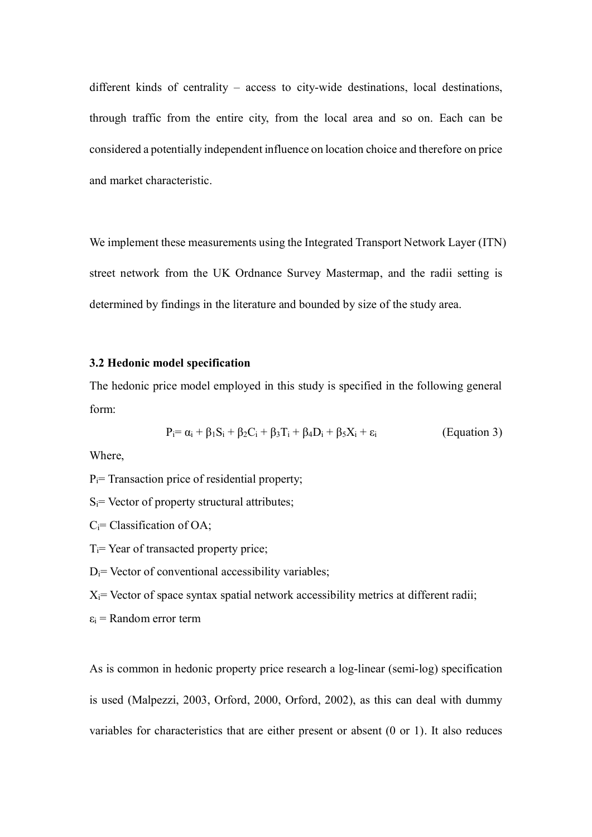different kinds of centrality – access to city-wide destinations, local destinations, through traffic from the entire city, from the local area and so on. Each can be considered a potentially independent influence on location choice and therefore on price and market characteristic.

We implement these measurements using the Integrated Transport Network Layer (ITN) street network from the UK Ordnance Survey Mastermap, and the radii setting is determined by findings in the literature and bounded by size of the study area.

#### **3.2 Hedonic model specification**

The hedonic price model employed in this study is specified in the following general form:

$$
P_i = \alpha_i + \beta_1 S_i + \beta_2 C_i + \beta_3 T_i + \beta_4 D_i + \beta_5 X_i + \varepsilon_i
$$
 (Equation 3)

Where,

- $P_i$ = Transaction price of residential property;
- $S_i$ = Vector of property structural attributes;

 $C_i$ = Classification of OA;

- $T_i$ = Year of transacted property price;
- $D_i$ = Vector of conventional accessibility variables;
- $X_i$ = Vector of space syntax spatial network accessibility metrics at different radii;
- $\varepsilon_i$  = Random error term

As is common in hedonic property price research a log-linear (semi-log) specification is used [\(Malpezzi, 2003,](#page-32-13) [Orford, 2000,](#page-32-14) [Orford, 2002\)](#page-32-15), as this can deal with dummy variables for characteristics that are either present or absent (0 or 1). It also reduces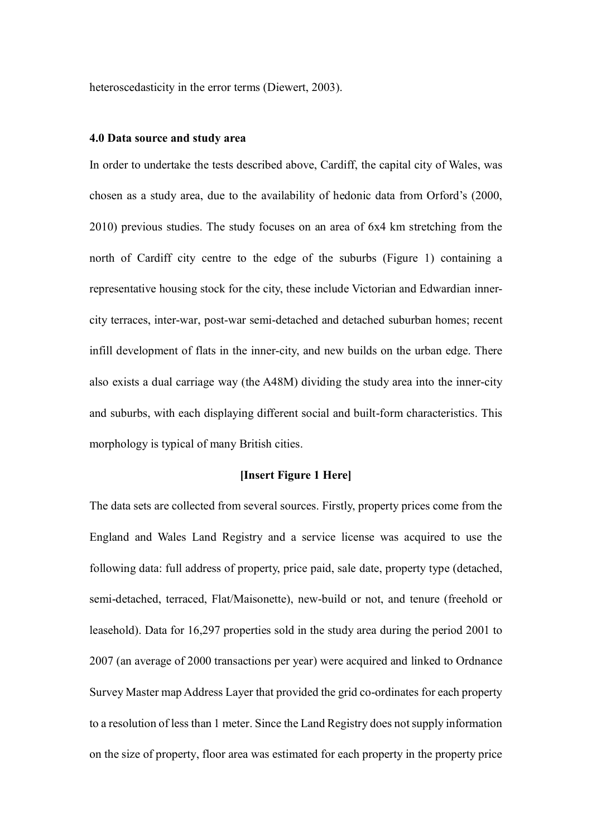heteroscedasticity in the error terms [\(Diewert, 2003\)](#page-31-17).

#### **4.0 Data source and study area**

In order to undertake the tests described above, Cardiff, the capital city of Wales, was chosen as a study area, due to the availability of hedonic data from Orford's (2000, 2010) previous studies. The study focuses on an area of 6x4 km stretching from the north of Cardiff city centre to the edge of the suburbs (Figure 1) containing a representative housing stock for the city, these include Victorian and Edwardian innercity terraces, inter-war, post-war semi-detached and detached suburban homes; recent infill development of flats in the inner-city, and new builds on the urban edge. There also exists a dual carriage way (the A48M) dividing the study area into the inner-city and suburbs, with each displaying different social and built-form characteristics. This morphology is typical of many British cities.

#### **[Insert Figure 1 Here]**

The data sets are collected from several sources. Firstly, property prices come from the England and Wales Land Registry and a service license was acquired to use the following data: full address of property, price paid, sale date, property type (detached, semi-detached, terraced, Flat/Maisonette), new-build or not, and tenure (freehold or leasehold). Data for 16,297 properties sold in the study area during the period 2001 to 2007 (an average of 2000 transactions per year) were acquired and linked to Ordnance Survey Master map Address Layer that provided the grid co-ordinates for each property to a resolution of less than 1 meter. Since the Land Registry does not supply information on the size of property, floor area was estimated for each property in the property price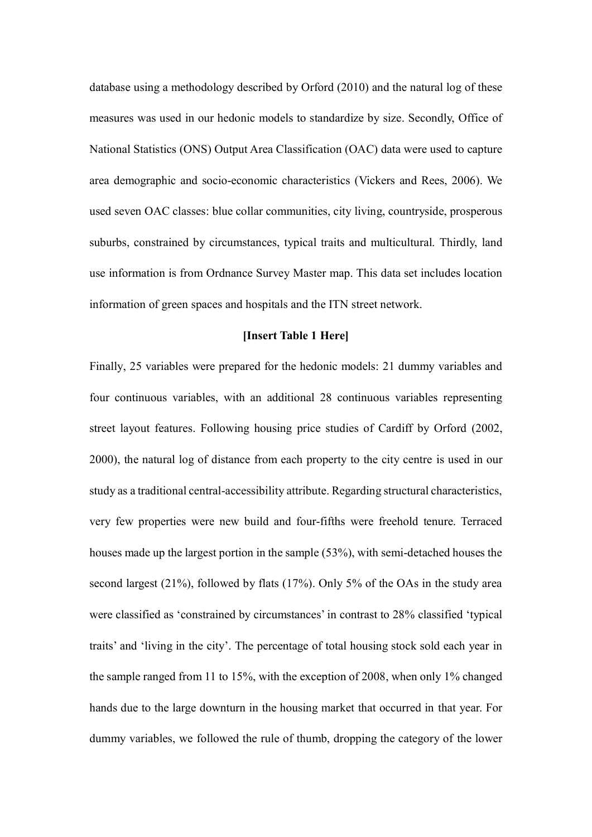database using a methodology described by Orford [\(2010\)](#page-32-16) and the natural log of these measures was used in our hedonic models to standardize by size. Secondly, Office of National Statistics (ONS) Output Area Classification (OAC) data were used to capture area demographic and socio-economic characteristics [\(Vickers and Rees, 2006\)](#page-33-11). We used seven OAC classes: blue collar communities, city living, countryside, prosperous suburbs, constrained by circumstances, typical traits and multicultural. Thirdly, land use information is from Ordnance Survey Master map. This data set includes location information of green spaces and hospitals and the ITN street network.

#### **[Insert Table 1 Here]**

Finally, 25 variables were prepared for the hedonic models: 21 dummy variables and four continuous variables, with an additional 28 continuous variables representing street layout features. Following housing price studies of Cardiff by Orford [\(2002,](#page-32-15) [2000\)](#page-32-14), the natural log of distance from each property to the city centre is used in our study as a traditional central-accessibility attribute. Regarding structural characteristics, very few properties were new build and four-fifths were freehold tenure. Terraced houses made up the largest portion in the sample (53%), with semi-detached houses the second largest (21%), followed by flats (17%). Only 5% of the OAs in the study area were classified as 'constrained by circumstances' in contrast to 28% classified 'typical traits' and 'living in the city'. The percentage of total housing stock sold each year in the sample ranged from 11 to 15%, with the exception of 2008, when only 1% changed hands due to the large downturn in the housing market that occurred in that year. For dummy variables, we followed the rule of thumb, dropping the category of the lower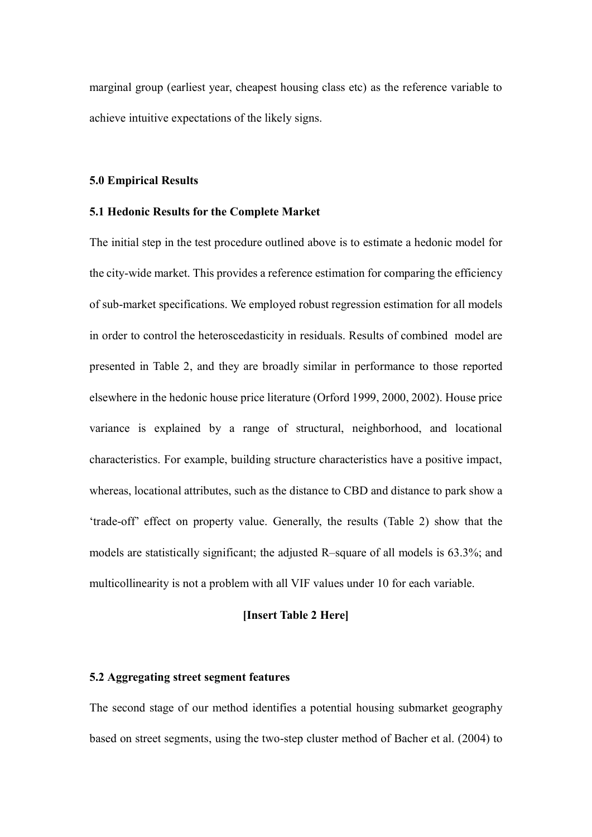marginal group (earliest year, cheapest housing class etc) as the reference variable to achieve intuitive expectations of the likely signs.

#### **5.0 Empirical Results**

#### **5.1 Hedonic Results for the Complete Market**

The initial step in the test procedure outlined above is to estimate a hedonic model for the city-wide market. This provides a reference estimation for comparing the efficiency of sub-market specifications. We employed robust regression estimation for all models in order to control the heteroscedasticity in residuals. Results of combined model are presented in Table 2, and they are broadly similar in performance to those reported elsewhere in the hedonic house price literature (Orford 1999, 2000, 2002). House price variance is explained by a range of structural, neighborhood, and locational characteristics. For example, building structure characteristics have a positive impact, whereas, locational attributes, such as the distance to CBD and distance to park show a 'trade-off' effect on property value. Generally, the results (Table 2) show that the models are statistically significant; the adjusted R–square of all models is 63.3%; and multicollinearity is not a problem with all VIF values under 10 for each variable.

#### **[Insert Table 2 Here]**

#### **5.2 Aggregating street segment features**

The second stage of our method identifies a potential housing submarket geography based on street segments, using the two-step cluster method of Bacher et al. (2004) to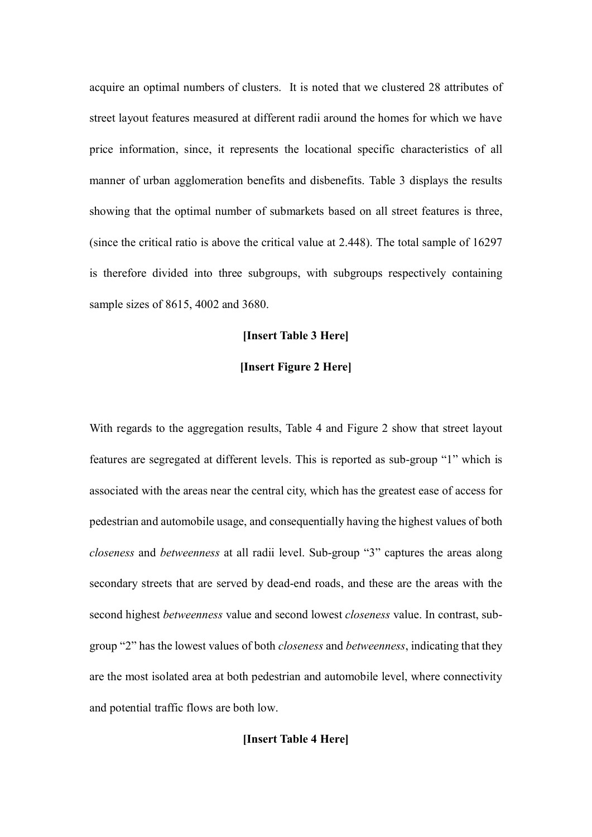acquire an optimal numbers of clusters. It is noted that we clustered 28 attributes of street layout features measured at different radii around the homes for which we have price information, since, it represents the locational specific characteristics of all manner of urban agglomeration benefits and disbenefits. Table 3 displays the results showing that the optimal number of submarkets based on all street features is three, (since the critical ratio is above the critical value at 2.448). The total sample of 16297 is therefore divided into three subgroups, with subgroups respectively containing sample sizes of 8615, 4002 and 3680.

#### **[Insert Table 3 Here]**

#### **[Insert Figure 2 Here]**

With regards to the aggregation results, Table 4 and Figure 2 show that street layout features are segregated at different levels. This is reported as sub-group "1" which is associated with the areas near the central city, which has the greatest ease of access for pedestrian and automobile usage, and consequentially having the highest values of both *closeness* and *betweenness* at all radii level. Sub-group "3" captures the areas along secondary streets that are served by dead-end roads, and these are the areas with the second highest *betweenness* value and second lowest *closeness* value. In contrast, subgroup "2" has the lowest values of both *closeness* and *betweenness*, indicating that they are the most isolated area at both pedestrian and automobile level, where connectivity and potential traffic flows are both low.

#### **[Insert Table 4 Here]**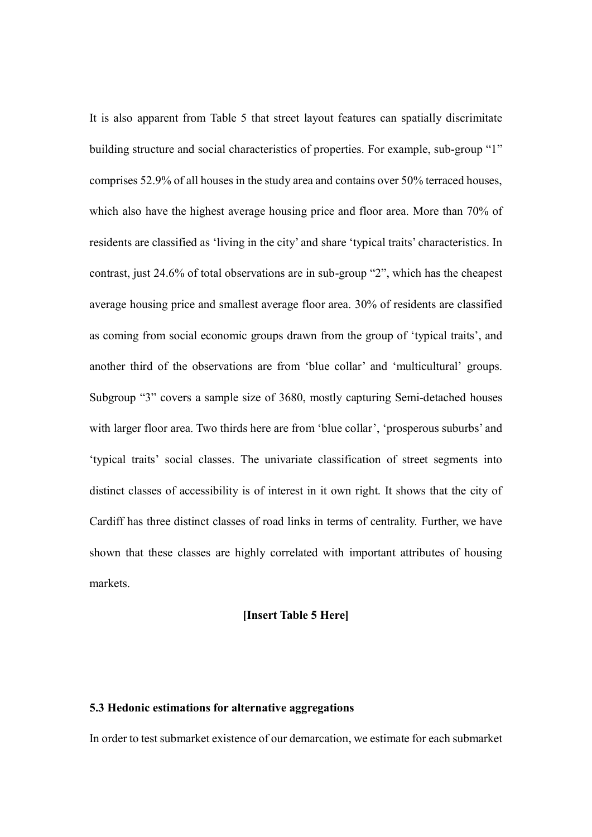It is also apparent from Table 5 that street layout features can spatially discrimitate building structure and social characteristics of properties. For example, sub-group "1" comprises 52.9% of all houses in the study area and contains over 50% terraced houses, which also have the highest average housing price and floor area. More than 70% of residents are classified as 'living in the city' and share 'typical traits' characteristics. In contrast, just 24.6% of total observations are in sub-group "2", which has the cheapest average housing price and smallest average floor area. 30% of residents are classified as coming from social economic groups drawn from the group of 'typical traits', and another third of the observations are from 'blue collar' and 'multicultural' groups. Subgroup "3" covers a sample size of 3680, mostly capturing Semi-detached houses with larger floor area. Two thirds here are from 'blue collar', 'prosperous suburbs' and 'typical traits' social classes. The univariate classification of street segments into distinct classes of accessibility is of interest in it own right. It shows that the city of Cardiff has three distinct classes of road links in terms of centrality. Further, we have shown that these classes are highly correlated with important attributes of housing markets.

#### **[Insert Table 5 Here]**

#### **5.3 Hedonic estimations for alternative aggregations**

In order to test submarket existence of our demarcation, we estimate for each submarket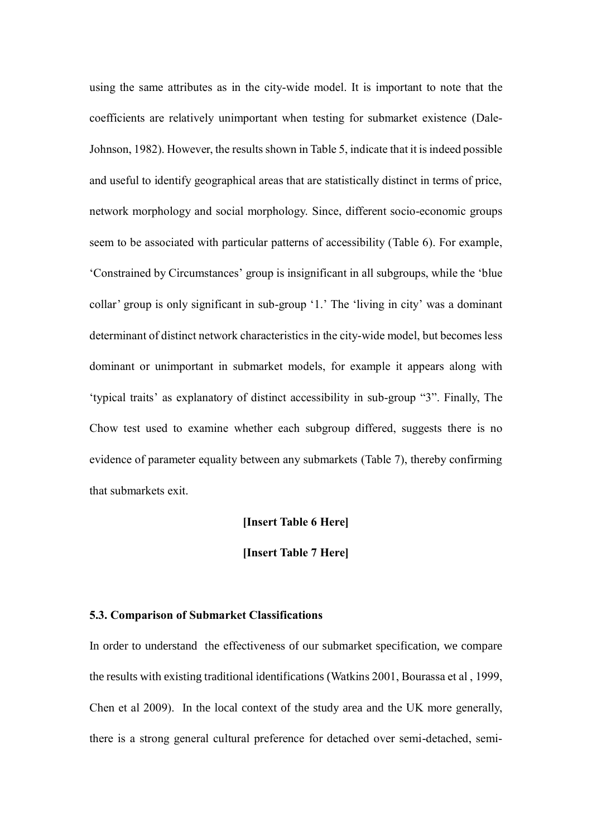using the same attributes as in the city-wide model. It is important to note that the coefficients are relatively unimportant when testing for submarket existence [\(Dale-](#page-31-12)[Johnson, 1982\)](#page-31-12). However, the results shown in Table 5, indicate that it is indeed possible and useful to identify geographical areas that are statistically distinct in terms of price, network morphology and social morphology. Since, different socio-economic groups seem to be associated with particular patterns of accessibility (Table 6). For example, 'Constrained by Circumstances' group is insignificant in all subgroups, while the 'blue collar' group is only significant in sub-group '1.' The 'living in city' was a dominant determinant of distinct network characteristics in the city-wide model, but becomes less dominant or unimportant in submarket models, for example it appears along with 'typical traits' as explanatory of distinct accessibility in sub-group "3". Finally, The Chow test used to examine whether each subgroup differed, suggests there is no evidence of parameter equality between any submarkets (Table 7), thereby confirming that submarkets exit.

#### **[Insert Table 6 Here]**

#### **[Insert Table 7 Here]**

#### **5.3. Comparison of Submarket Classifications**

In order to understand the effectiveness of our submarket specification, we compare the results with existing traditional identifications ([Watkins 2001,](#page-33-3) Bourassa et al , 1999, Chen et al 2009). In the local context of the study area and the UK more generally, there is a strong general cultural preference for detached over semi-detached, semi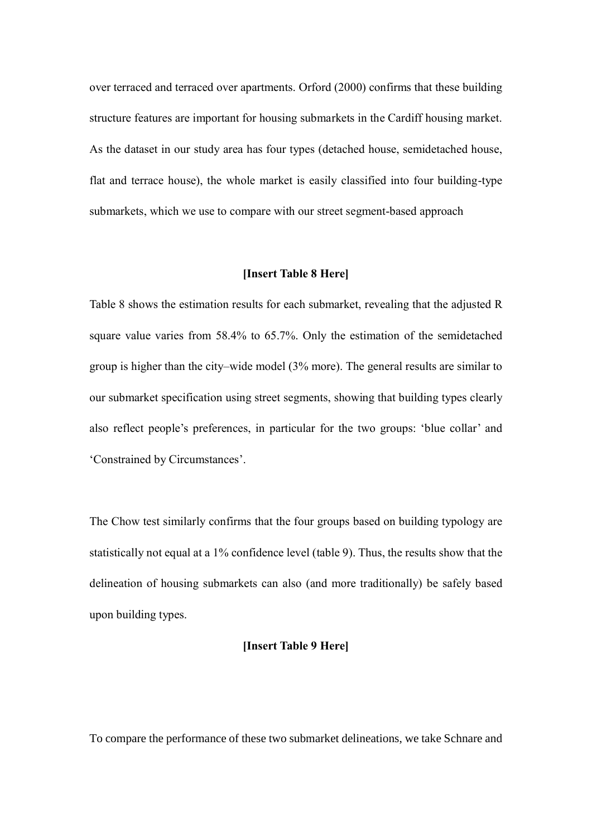over terraced and terraced over apartments. Orford [\(2000\)](#page-32-14) confirms that these building structure features are important for housing submarkets in the Cardiff housing market. As the dataset in our study area has four types (detached house, semidetached house, flat and terrace house), the whole market is easily classified into four building-type submarkets, which we use to compare with our street segment-based approach

#### **[Insert Table 8 Here]**

Table 8 shows the estimation results for each submarket, revealing that the adjusted R square value varies from 58.4% to 65.7%. Only the estimation of the semidetached group is higher than the city–wide model (3% more). The general results are similar to our submarket specification using street segments, showing that building types clearly also reflect people's preferences, in particular for the two groups: 'blue collar' and 'Constrained by Circumstances'.

The Chow test similarly confirms that the four groups based on building typology are statistically not equal at a 1% confidence level (table 9). Thus, the results show that the delineation of housing submarkets can also (and more traditionally) be safely based upon building types.

#### **[Insert Table 9 Here]**

To compare the performance of these two submarket delineations, we take Schnare and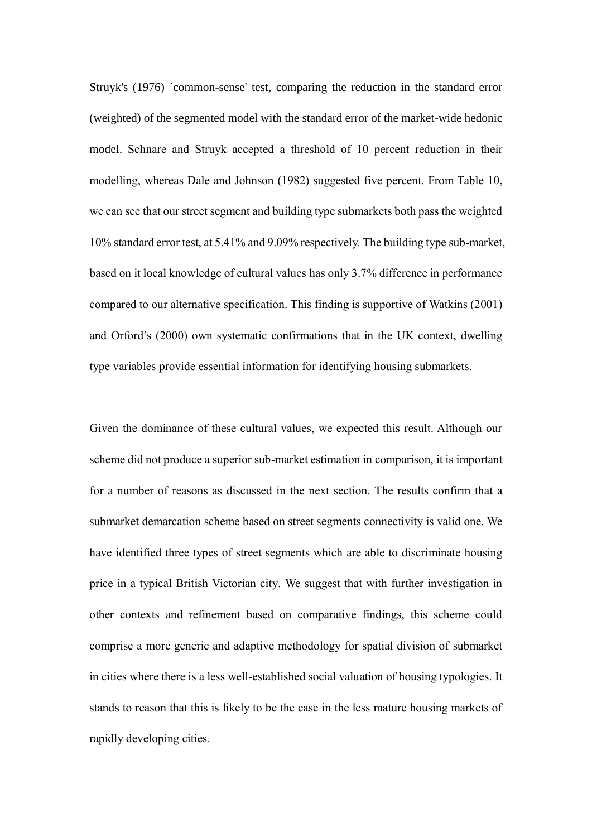Struyk's [\(1976\)](#page-33-3) `common-sense' test, comparing the reduction in the standard error (weighted) of the segmented model with the standard error of the market-wide hedonic model. Schnare and Struyk accepted a threshold of 10 percent reduction in their modelling, whereas Dale and Johnson [\(1982\)](#page-31-12) suggested five percent. From Table 10, we can see that our street segment and building type submarkets both pass the weighted 10% standard error test, at 5.41% and 9.09% respectively. The building type sub-market, based on it local knowledge of cultural values has only 3.7% difference in performance compared to our alternative specification. This finding is supportive of Watkins (2001) and Orford's (2000) own systematic confirmations that in the UK context, dwelling type variables provide essential information for identifying housing submarkets.

Given the dominance of these cultural values, we expected this result. Although our scheme did not produce a superior sub-market estimation in comparison, it is important for a number of reasons as discussed in the next section. The results confirm that a submarket demarcation scheme based on street segments connectivity is valid one. We have identified three types of street segments which are able to discriminate housing price in a typical British Victorian city. We suggest that with further investigation in other contexts and refinement based on comparative findings, this scheme could comprise a more generic and adaptive methodology for spatial division of submarket in cities where there is a less well-established social valuation of housing typologies. It stands to reason that this is likely to be the case in the less mature housing markets of rapidly developing cities.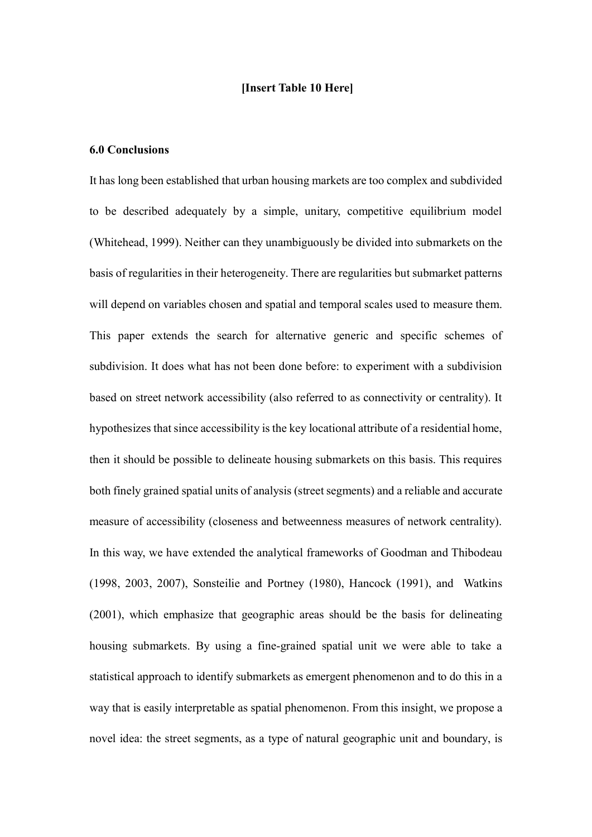#### **[Insert Table 10 Here]**

#### **6.0 Conclusions**

It has long been established that urban housing markets are too complex and subdivided to be described adequately by a simple, unitary, competitive equilibrium model [\(Whitehead, 1999\)](#page-33-12). Neither can they unambiguously be divided into submarkets on the basis of regularities in their heterogeneity. There are regularities but submarket patterns will depend on variables chosen and spatial and temporal scales used to measure them. This paper extends the search for alternative generic and specific schemes of subdivision. It does what has not been done before: to experiment with a subdivision based on street network accessibility (also referred to as connectivity or centrality). It hypothesizes that since accessibility is the key locational attribute of a residential home, then it should be possible to delineate housing submarkets on this basis. This requires both finely grained spatial units of analysis (street segments) and a reliable and accurate measure of accessibility (closeness and betweenness measures of network centrality). In this way, we have extended the analytical frameworks of Goodman and Thibodeau (1998, 2003, 2007), Sonsteilie and Portney [\(1980\)](#page-33-6), Hancock [\(1991\)](#page-31-11), and Watkins (2001), which emphasize that geographic areas should be the basis for delineating housing submarkets. By using a fine-grained spatial unit we were able to take a statistical approach to identify submarkets as emergent phenomenon and to do this in a way that is easily interpretable as spatial phenomenon. From this insight, we propose a novel idea: the street segments, as a type of natural geographic unit and boundary, is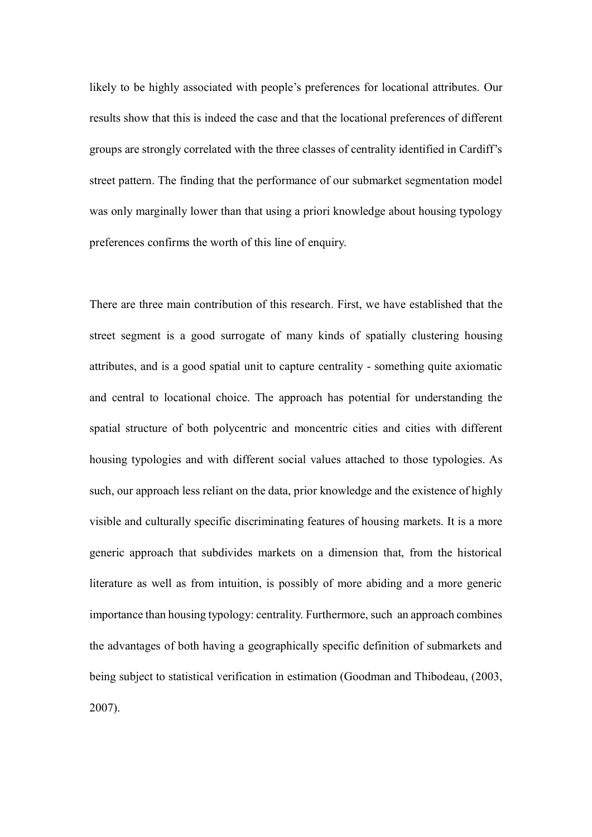likely to be highly associated with people's preferences for locational attributes. Our results show that this is indeed the case and that the locational preferences of different groups are strongly correlated with the three classes of centrality identified in Cardiff's street pattern. The finding that the performance of our submarket segmentation model was only marginally lower than that using a priori knowledge about housing typology preferences confirms the worth of this line of enquiry.

There are three main contribution of this research. First, we have established that the street segment is a good surrogate of many kinds of spatially clustering housing attributes, and is a good spatial unit to capture centrality - something quite axiomatic and central to locational choice. The approach has potential for understanding the spatial structure of both polycentric and moncentric cities and cities with different housing typologies and with different social values attached to those typologies. As such, our approach less reliant on the data, prior knowledge and the existence of highly visible and culturally specific discriminating features of housing markets. It is a more generic approach that subdivides markets on a dimension that, from the historical literature as well as from intuition, is possibly of more abiding and a more generic importance than housing typology: centrality. Furthermore, such an approach combines the advantages of both having a geographically specific definition of submarkets and being subject to statistical verification in estimation (Goodman and Thibodeau, [\(2003,](#page-31-4) [2007\)](#page-31-2).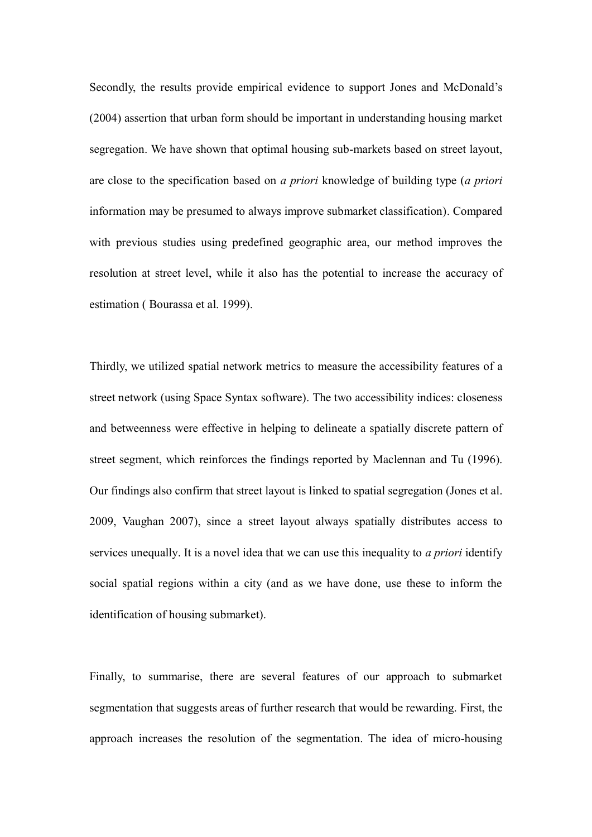Secondly, the results provide empirical evidence to support Jones and McDonald's (2004) assertion that urban form should be important in understanding housing market segregation. We have shown that optimal housing sub-markets based on street layout, are close to the specification based on *a priori* knowledge of building type (*a priori* information may be presumed to always improve submarket classification). Compared with previous studies using predefined geographic area, our method improves the resolution at street level, while it also has the potential to increase the accuracy of estimation ( Bourassa et al. 1999).

Thirdly, we utilized spatial network metrics to measure the accessibility features of a street network (using Space Syntax software). The two accessibility indices: closeness and betweenness were effective in helping to delineate a spatially discrete pattern of street segment, which reinforces the findings reported by Maclennan and Tu [\(1996\)](#page-32-17). Our findings also confirm that street layout is linked to spatial segregation (Jones et al. 2009, Vaughan 2007), since a street layout always spatially distributes access to services unequally. It is a novel idea that we can use this inequality to *a priori* identify social spatial regions within a city (and as we have done, use these to inform the identification of housing submarket).

Finally, to summarise, there are several features of our approach to submarket segmentation that suggests areas of further research that would be rewarding. First, the approach increases the resolution of the segmentation. The idea of micro-housing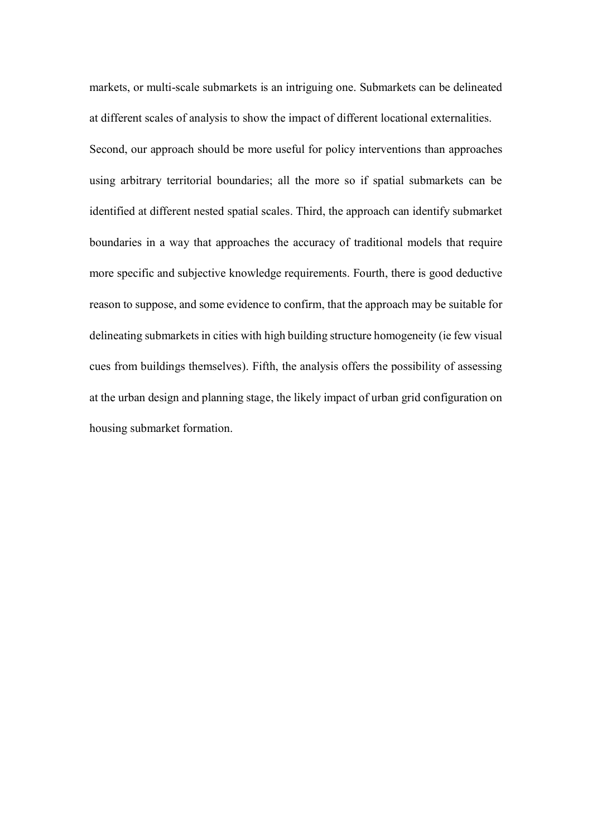markets, or multi-scale submarkets is an intriguing one. Submarkets can be delineated at different scales of analysis to show the impact of different locational externalities. Second, our approach should be more useful for policy interventions than approaches using arbitrary territorial boundaries; all the more so if spatial submarkets can be identified at different nested spatial scales. Third, the approach can identify submarket boundaries in a way that approaches the accuracy of traditional models that require more specific and subjective knowledge requirements. Fourth, there is good deductive reason to suppose, and some evidence to confirm, that the approach may be suitable for delineating submarkets in cities with high building structure homogeneity (ie few visual cues from buildings themselves). Fifth, the analysis offers the possibility of assessing at the urban design and planning stage, the likely impact of urban grid configuration on housing submarket formation.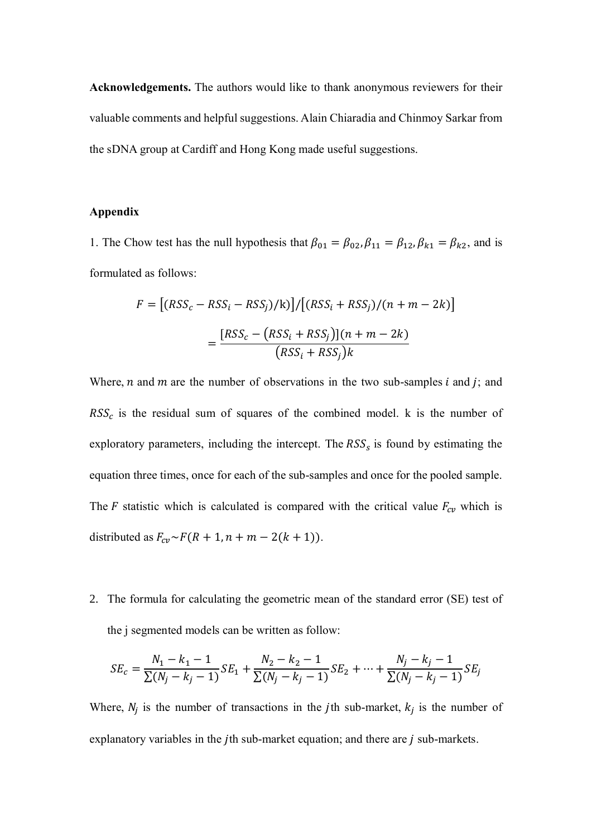**Acknowledgements.** The authors would like to thank anonymous reviewers for their valuable comments and helpful suggestions. Alain Chiaradia and Chinmoy Sarkar from the sDNA group at Cardiff and Hong Kong made useful suggestions.

#### **Appendix**

1. The Chow test has the null hypothesis that  $\beta_{01} = \beta_{02}, \beta_{11} = \beta_{12}, \beta_{k1} = \beta_{k2}$ , and is formulated as follows:

$$
F = [(RSS_c - RSS_i - RSS_j)/k)]/[(RSS_i + RSS_j)/(n + m - 2k)]
$$

$$
= \frac{[RSS_c - (RSS_i + RSS_j)](n + m - 2k)}{(RSS_i + RSS_j)k}
$$

Where,  $n$  and  $m$  are the number of observations in the two sub-samples  $i$  and  $j$ ; and  $RSS<sub>c</sub>$  is the residual sum of squares of the combined model. k is the number of exploratory parameters, including the intercept. The  $RSS<sub>s</sub>$  is found by estimating the equation three times, once for each of the sub-samples and once for the pooled sample. The  $F$  statistic which is calculated is compared with the critical value  $F_{cv}$  which is distributed as  $F_{cv} \sim F(R + 1, n + m - 2(k + 1)).$ 

2. The formula for calculating the geometric mean of the standard error (SE) test of the j segmented models can be written as follow:

$$
SE_c = \frac{N_1 - k_1 - 1}{\sum(N_j - k_j - 1)} SE_1 + \frac{N_2 - k_2 - 1}{\sum(N_j - k_j - 1)} SE_2 + \dots + \frac{N_j - k_j - 1}{\sum(N_j - k_j - 1)} SE_j
$$

Where,  $N_j$  is the number of transactions in the *j*th sub-market,  $k_j$  is the number of explanatory variables in the  $j$ th sub-market equation; and there are  $j$  sub-markets.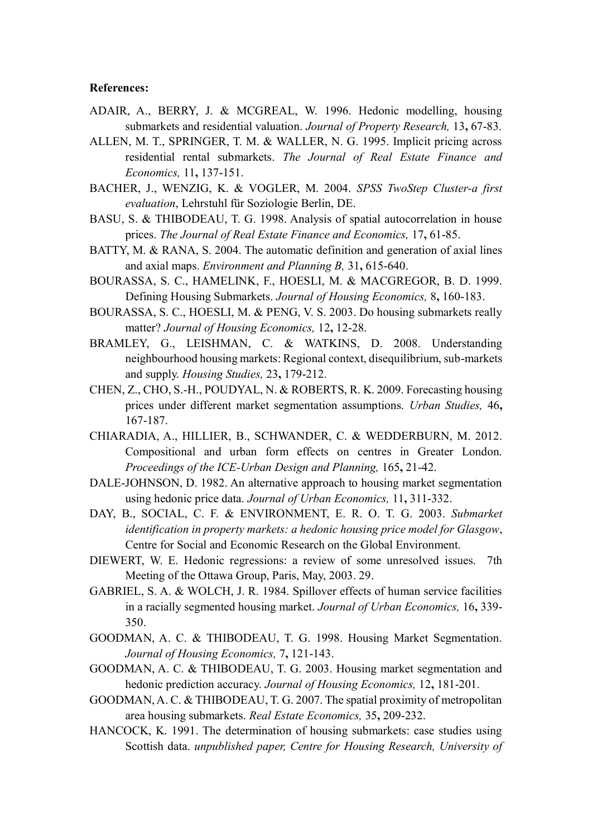#### **References:**

- <span id="page-31-3"></span>ADAIR, A., BERRY, J. & MCGREAL, W. 1996. Hedonic modelling, housing submarkets and residential valuation. *Journal of Property Research,* 13**,** 67-83.
- <span id="page-31-13"></span>ALLEN, M. T., SPRINGER, T. M. & WALLER, N. G. 1995. Implicit pricing across residential rental submarkets. *The Journal of Real Estate Finance and Economics,* 11**,** 137-151.
- <span id="page-31-8"></span>BACHER, J., WENZIG, K. & VOGLER, M. 2004. *SPSS TwoStep Cluster-a first evaluation*, Lehrstuhl für Soziologie Berlin, DE.
- <span id="page-31-5"></span>BASU, S. & THIBODEAU, T. G. 1998. Analysis of spatial autocorrelation in house prices. *The Journal of Real Estate Finance and Economics,* 17**,** 61-85.
- <span id="page-31-16"></span>BATTY, M. & RANA, S. 2004. The automatic definition and generation of axial lines and axial maps. *Environment and Planning B,* 31**,** 615-640.
- <span id="page-31-1"></span>BOURASSA, S. C., HAMELINK, F., HOESLI, M. & MACGREGOR, B. D. 1999. Defining Housing Submarkets. *Journal of Housing Economics,* 8**,** 160-183.
- <span id="page-31-15"></span>BOURASSA, S. C., HOESLI, M. & PENG, V. S. 2003. Do housing submarkets really matter? *Journal of Housing Economics,* 12**,** 12-28.
- <span id="page-31-0"></span>BRAMLEY, G., LEISHMAN, C. & WATKINS, D. 2008. Understanding neighbourhood housing markets: Regional context, disequilibrium, sub-markets and supply. *Housing Studies,* 23**,** 179-212.
- <span id="page-31-7"></span>CHEN, Z., CHO, S.-H., POUDYAL, N. & ROBERTS, R. K. 2009. Forecasting housing prices under different market segmentation assumptions. *Urban Studies,* 46**,** 167-187.
- <span id="page-31-6"></span>CHIARADIA, A., HILLIER, B., SCHWANDER, C. & WEDDERBURN, M. 2012. Compositional and urban form effects on centres in Greater London. *Proceedings of the ICE-Urban Design and Planning,* 165**,** 21-42.
- <span id="page-31-12"></span>DALE-JOHNSON, D. 1982. An alternative approach to housing market segmentation using hedonic price data. *Journal of Urban Economics,* 11**,** 311-332.
- <span id="page-31-14"></span>DAY, B., SOCIAL, C. F. & ENVIRONMENT, E. R. O. T. G. 2003. *Submarket identification in property markets: a hedonic housing price model for Glasgow*, Centre for Social and Economic Research on the Global Environment.
- <span id="page-31-17"></span>DIEWERT, W. E. Hedonic regressions: a review of some unresolved issues. 7th Meeting of the Ottawa Group, Paris, May, 2003. 29.
- <span id="page-31-10"></span>GABRIEL, S. A. & WOLCH, J. R. 1984. Spillover effects of human service facilities in a racially segmented housing market. *Journal of Urban Economics,* 16**,** 339- 350.
- <span id="page-31-9"></span>GOODMAN, A. C. & THIBODEAU, T. G. 1998. Housing Market Segmentation. *Journal of Housing Economics,* 7**,** 121-143.
- <span id="page-31-4"></span>GOODMAN, A. C. & THIBODEAU, T. G. 2003. Housing market segmentation and hedonic prediction accuracy. *Journal of Housing Economics,* 12**,** 181-201.
- <span id="page-31-2"></span>GOODMAN, A. C. & THIBODEAU, T. G. 2007. The spatial proximity of metropolitan area housing submarkets. *Real Estate Economics,* 35**,** 209-232.
- <span id="page-31-11"></span>HANCOCK, K. 1991. The determination of housing submarkets: case studies using Scottish data. *unpublished paper, Centre for Housing Research, University of*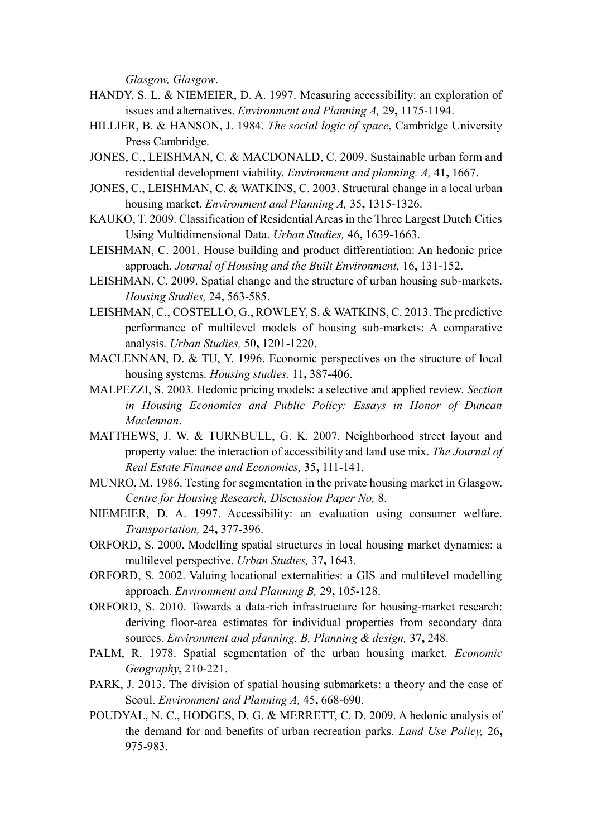*Glasgow, Glasgow*.

- <span id="page-32-10"></span>HANDY, S. L. & NIEMEIER, D. A. 1997. Measuring accessibility: an exploration of issues and alternatives. *Environment and Planning A,* 29**,** 1175-1194.
- <span id="page-32-12"></span>HILLIER, B. & HANSON, J. 1984. *The social logic of space*, Cambridge University Press Cambridge.
- <span id="page-32-1"></span>JONES, C., LEISHMAN, C. & MACDONALD, C. 2009. Sustainable urban form and residential development viability. *Environment and planning. A,* 41**,** 1667.
- <span id="page-32-5"></span>JONES, C., LEISHMAN, C. & WATKINS, C. 2003. Structural change in a local urban housing market. *Environment and Planning A,* 35**,** 1315-1326.
- <span id="page-32-6"></span>KAUKO, T. 2009. Classification of Residential Areas in the Three Largest Dutch Cities Using Multidimensional Data. *Urban Studies,* 46**,** 1639-1663.
- <span id="page-32-0"></span>LEISHMAN, C. 2001. House building and product differentiation: An hedonic price approach. *Journal of Housing and the Built Environment,* 16**,** 131-152.
- <span id="page-32-2"></span>LEISHMAN, C. 2009. Spatial change and the structure of urban housing sub-markets. *Housing Studies,* 24**,** 563-585.
- <span id="page-32-3"></span>LEISHMAN, C., COSTELLO, G., ROWLEY, S. & WATKINS, C. 2013. The predictive performance of multilevel models of housing sub-markets: A comparative analysis. *Urban Studies,* 50**,** 1201-1220.
- <span id="page-32-17"></span>MACLENNAN, D. & TU, Y. 1996. Economic perspectives on the structure of local housing systems. *Housing studies,* 11**,** 387-406.
- <span id="page-32-13"></span>MALPEZZI, S. 2003. Hedonic pricing models: a selective and applied review. *Section in Housing Economics and Public Policy: Essays in Honor of Duncan Maclennan*.
- <span id="page-32-7"></span>MATTHEWS, J. W. & TURNBULL, G. K. 2007. Neighborhood street layout and property value: the interaction of accessibility and land use mix. *The Journal of Real Estate Finance and Economics,* 35**,** 111-141.
- <span id="page-32-8"></span>MUNRO, M. 1986. Testing for segmentation in the private housing market in Glasgow. *Centre for Housing Research, Discussion Paper No,* 8.
- <span id="page-32-11"></span>NIEMEIER, D. A. 1997. Accessibility: an evaluation using consumer welfare. *Transportation,* 24**,** 377-396.
- <span id="page-32-14"></span>ORFORD, S. 2000. Modelling spatial structures in local housing market dynamics: a multilevel perspective. *Urban Studies,* 37**,** 1643.
- <span id="page-32-15"></span>ORFORD, S. 2002. Valuing locational externalities: a GIS and multilevel modelling approach. *Environment and Planning B,* 29**,** 105-128.
- <span id="page-32-16"></span>ORFORD, S. 2010. Towards a data-rich infrastructure for housing-market research: deriving floor-area estimates for individual properties from secondary data sources. *Environment and planning. B, Planning & design,* 37**,** 248.
- <span id="page-32-9"></span>PALM, R. 1978. Spatial segmentation of the urban housing market. *Economic Geography***,** 210-221.
- <span id="page-32-4"></span>PARK, J. 2013. The division of spatial housing submarkets: a theory and the case of Seoul. *Environment and Planning A,* 45**,** 668-690.
- POUDYAL, N. C., HODGES, D. G. & MERRETT, C. D. 2009. A hedonic analysis of the demand for and benefits of urban recreation parks. *Land Use Policy,* 26**,** 975-983.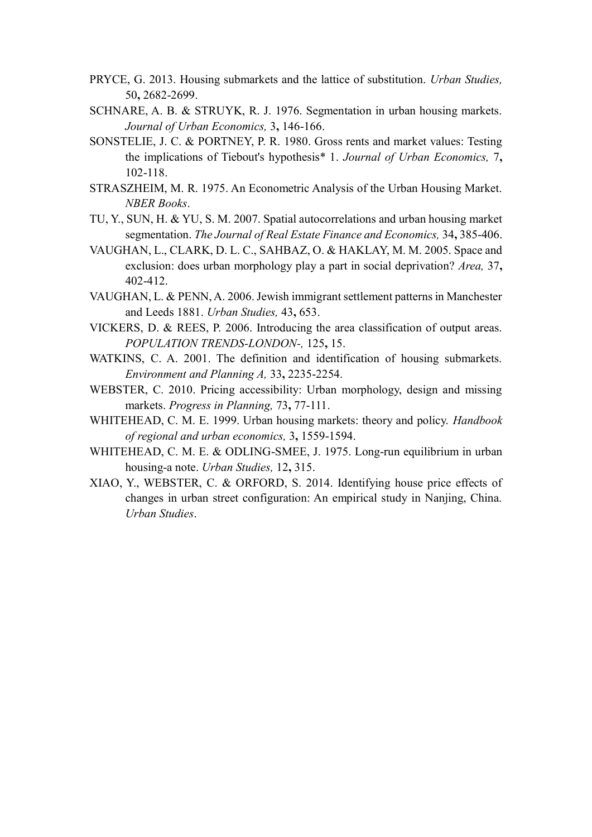- <span id="page-33-1"></span>PRYCE, G. 2013. Housing submarkets and the lattice of substitution. *Urban Studies,* 50**,** 2682-2699.
- <span id="page-33-3"></span>SCHNARE, A. B. & STRUYK, R. J. 1976. Segmentation in urban housing markets. *Journal of Urban Economics,* 3**,** 146-166.
- <span id="page-33-6"></span>SONSTELIE, J. C. & PORTNEY, P. R. 1980. Gross rents and market values: Testing the implications of Tiebout's hypothesis\* 1. *Journal of Urban Economics,* 7**,** 102-118.
- <span id="page-33-5"></span>STRASZHEIM, M. R. 1975. An Econometric Analysis of the Urban Housing Market. *NBER Books*.
- <span id="page-33-7"></span>TU, Y., SUN, H. & YU, S. M. 2007. Spatial autocorrelations and urban housing market segmentation. *The Journal of Real Estate Finance and Economics,* 34**,** 385-406.
- <span id="page-33-9"></span>VAUGHAN, L., CLARK, D. L. C., SAHBAZ, O. & HAKLAY, M. M. 2005. Space and exclusion: does urban morphology play a part in social deprivation? *Area,* 37**,** 402-412.
- <span id="page-33-10"></span>VAUGHAN, L. & PENN, A. 2006. Jewish immigrant settlement patterns in Manchester and Leeds 1881. *Urban Studies,* 43**,** 653.
- <span id="page-33-11"></span>VICKERS, D. & REES, P. 2006. Introducing the area classification of output areas. *POPULATION TRENDS-LONDON-,* 125**,** 15.
- <span id="page-33-0"></span>WATKINS, C. A. 2001. The definition and identification of housing submarkets. *Environment and Planning A,* 33**,** 2235-2254.
- <span id="page-33-8"></span>WEBSTER, C. 2010. Pricing accessibility: Urban morphology, design and missing markets. *Progress in Planning,* 73**,** 77-111.
- <span id="page-33-12"></span>WHITEHEAD, C. M. E. 1999. Urban housing markets: theory and policy. *Handbook of regional and urban economics,* 3**,** 1559-1594.
- <span id="page-33-4"></span>WHITEHEAD, C. M. E. & ODLING-SMEE, J. 1975. Long-run equilibrium in urban housing-a note. *Urban Studies,* 12**,** 315.
- <span id="page-33-2"></span>XIAO, Y., WEBSTER, C. & ORFORD, S. 2014. Identifying house price effects of changes in urban street configuration: An empirical study in Nanjing, China. *Urban Studies*.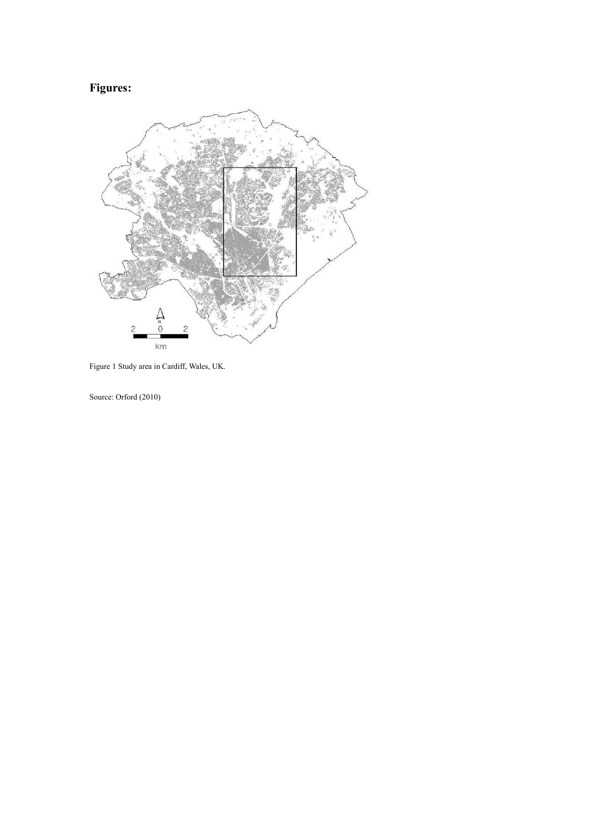## **Figures:**



Figure 1 Study area in Cardiff, Wales, UK.

Source: Orford (2010)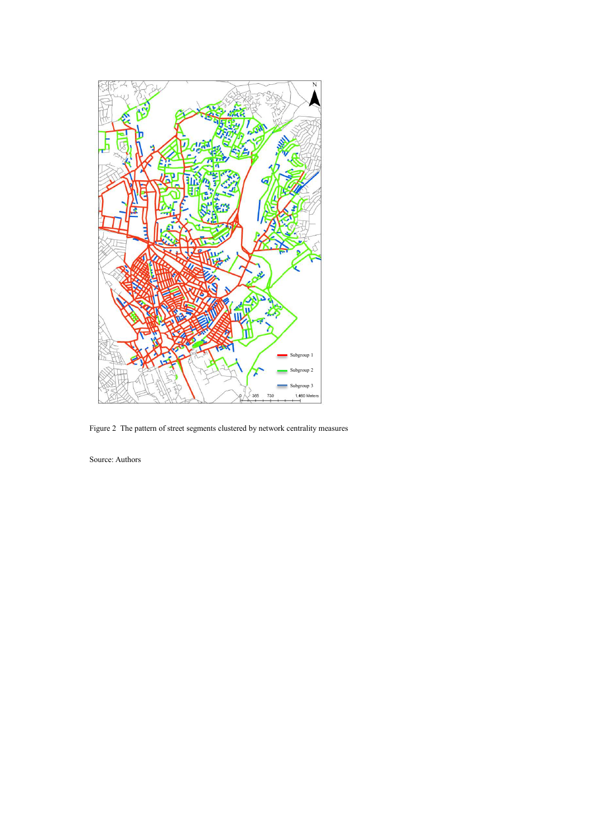

Figure 2 The pattern of street segments clustered by network centrality measures

Source: Authors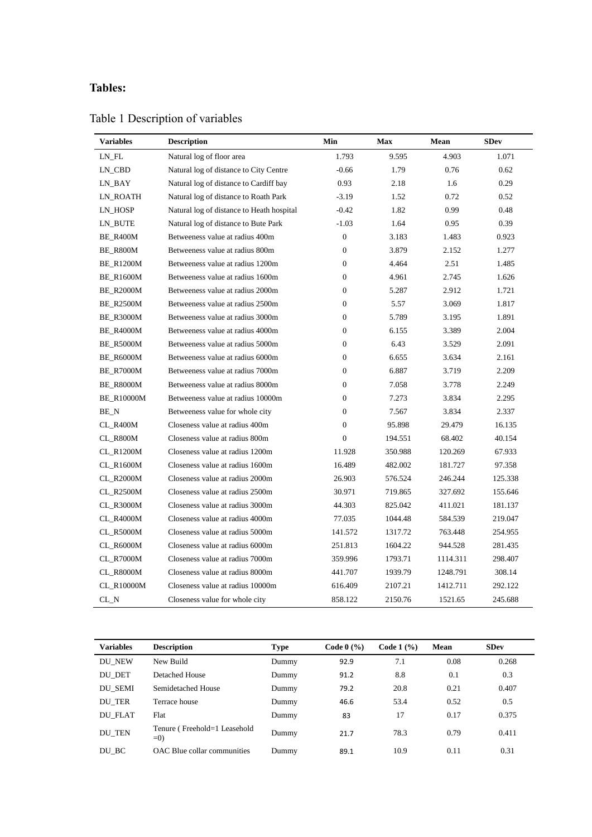#### **Tables:**

| <b>Variables</b>  | <b>Description</b>                        | Min              | <b>Max</b> | Mean     | <b>SDev</b> |
|-------------------|-------------------------------------------|------------------|------------|----------|-------------|
| LN_FL             | Natural log of floor area                 | 1.793            | 9.595      | 4.903    | 1.071       |
| LN_CBD            | Natural log of distance to City Centre    | $-0.66$          | 1.79       | 0.76     | 0.62        |
| LN_BAY            | Natural log of distance to Cardiff bay    | 0.93             | 2.18       | 1.6      | 0.29        |
| LN_ROATH          | Natural log of distance to Roath Park     | $-3.19$          | 1.52       | 0.72     | 0.52        |
| LN_HOSP           | Natural log of distance to Heath hospital | $-0.42$          | 1.82       | 0.99     | 0.48        |
| LN_BUTE           | Natural log of distance to Bute Park      | $-1.03$          | 1.64       | 0.95     | 0.39        |
| <b>BE_R400M</b>   | Betweeness value at radius 400m           | $\boldsymbol{0}$ | 3.183      | 1.483    | 0.923       |
| <b>BE_R800M</b>   | Betweeness value at radius 800m           | $\boldsymbol{0}$ | 3.879      | 2.152    | 1.277       |
| <b>BE_R1200M</b>  | Betweeness value at radius 1200m          | $\boldsymbol{0}$ | 4.464      | 2.51     | 1.485       |
| <b>BE_R1600M</b>  | Betweeness value at radius 1600m          | $\boldsymbol{0}$ | 4.961      | 2.745    | 1.626       |
| <b>BE_R2000M</b>  | Betweeness value at radius 2000m          | $\boldsymbol{0}$ | 5.287      | 2.912    | 1.721       |
| <b>BE_R2500M</b>  | Betweeness value at radius 2500m          | $\overline{0}$   | 5.57       | 3.069    | 1.817       |
| <b>BE R3000M</b>  | Betweeness value at radius 3000m          | $\overline{0}$   | 5.789      | 3.195    | 1.891       |
| <b>BE R4000M</b>  | Betweeness value at radius 4000m          | $\overline{0}$   | 6.155      | 3.389    | 2.004       |
| <b>BE R5000M</b>  | Betweeness value at radius 5000m          | $\boldsymbol{0}$ | 6.43       | 3.529    | 2.091       |
| <b>BE R6000M</b>  | Betweeness value at radius 6000m          | $\overline{0}$   | 6.655      | 3.634    | 2.161       |
| <b>BE_R7000M</b>  | Betweeness value at radius 7000m          | $\overline{0}$   | 6.887      | 3.719    | 2.209       |
| <b>BE_R8000M</b>  | Betweeness value at radius 8000m          | $\overline{0}$   | 7.058      | 3.778    | 2.249       |
| <b>BE_R10000M</b> | Betweeness value at radius 10000m         | $\overline{0}$   | 7.273      | 3.834    | 2.295       |
| BE_N              | Betweeness value for whole city           | $\overline{0}$   | 7.567      | 3.834    | 2.337       |
| <b>CL_R400M</b>   | Closeness value at radius 400m            | $\overline{0}$   | 95.898     | 29.479   | 16.135      |
| <b>CL R800M</b>   | Closeness value at radius 800m            | $\overline{0}$   | 194.551    | 68.402   | 40.154      |
| <b>CL_R1200M</b>  | Closeness value at radius 1200m           | 11.928           | 350.988    | 120.269  | 67.933      |
| <b>CL_R1600M</b>  | Closeness value at radius 1600m           | 16.489           | 482.002    | 181.727  | 97.358      |
| <b>CL_R2000M</b>  | Closeness value at radius 2000m           | 26.903           | 576.524    | 246.244  | 125.338     |
| <b>CL_R2500M</b>  | Closeness value at radius 2500m           | 30.971           | 719.865    | 327.692  | 155.646     |
| <b>CL_R3000M</b>  | Closeness value at radius 3000m           | 44.303           | 825.042    | 411.021  | 181.137     |
| <b>CL_R4000M</b>  | Closeness value at radius 4000m           | 77.035           | 1044.48    | 584.539  | 219.047     |
| <b>CL_R5000M</b>  | Closeness value at radius 5000m           | 141.572          | 1317.72    | 763.448  | 254.955     |
| <b>CL_R6000M</b>  | Closeness value at radius 6000m           | 251.813          | 1604.22    | 944.528  | 281.435     |
| <b>CL_R7000M</b>  | Closeness value at radius 7000m           | 359.996          | 1793.71    | 1114.311 | 298.407     |
| <b>CL_R8000M</b>  | Closeness value at radius 8000m           | 441.707          | 1939.79    | 1248.791 | 308.14      |
| CL_R10000M        | Closeness value at radius 10000m          | 616.409          | 2107.21    | 1412.711 | 292.122     |
| $CL_N$            | Closeness value for whole city            | 858.122          | 2150.76    | 1521.65  | 245.688     |

## Table 1 Description of variables

| <b>Variables</b> | <b>Description</b>                         | <b>Type</b> | Code $0\,(\%)$ | Code $1\left(\frac{9}{6}\right)$ | Mean | <b>SDev</b> |
|------------------|--------------------------------------------|-------------|----------------|----------------------------------|------|-------------|
| DU NEW           | New Build                                  | Dummy       | 92.9           | 7.1                              | 0.08 | 0.268       |
| DU DET           | Detached House                             | Dummy       | 91.2           | 8.8                              | 0.1  | 0.3         |
| DU SEMI          | Semidetached House                         | Dummy       | 79.2           | 20.8                             | 0.21 | 0.407       |
| DU TER           | Terrace house                              | Dummy       | 46.6           | 53.4                             | 0.52 | 0.5         |
| DU FLAT          | Flat                                       | Dummy       | 83             | 17                               | 0.17 | 0.375       |
| DU TEN           | Tenure (Freehold=1 Leasehold<br>$\equiv 0$ | Dummy       | 21.7           | 78.3                             | 0.79 | 0.411       |
| DU BC            | OAC Blue collar communities                | Dummy       | 89.1           | 10.9                             | 0.11 | 0.31        |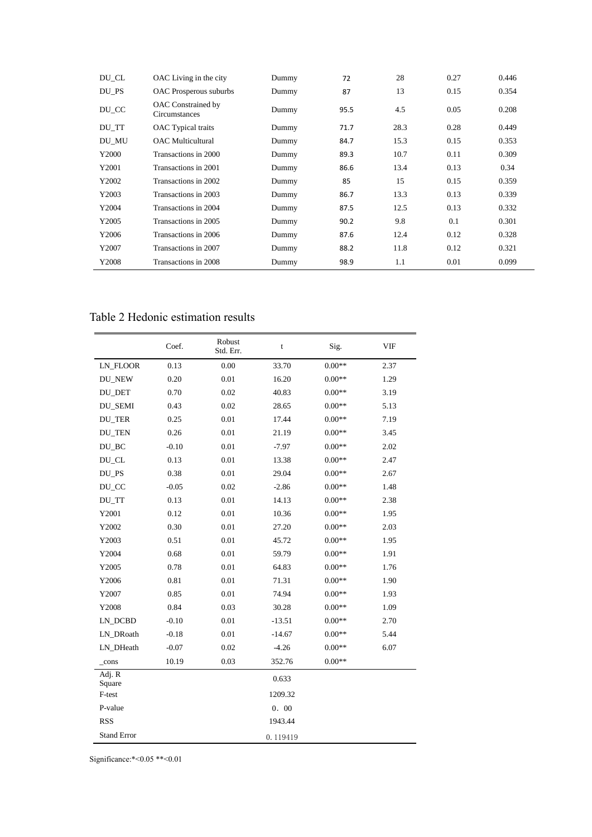| DU CL | OAC Living in the city              | Dummy | 72   | 28   | 0.27 | 0.446 |
|-------|-------------------------------------|-------|------|------|------|-------|
| DU_PS | OAC Prosperous suburbs              | Dummy | 87   | 13   | 0.15 | 0.354 |
| DU_CC | OAC Constrained by<br>Circumstances | Dummy | 95.5 | 4.5  | 0.05 | 0.208 |
| DU TT | <b>OAC</b> Typical traits           | Dummy | 71.7 | 28.3 | 0.28 | 0.449 |
| DU MU | OAC Multicultural                   | Dummy | 84.7 | 15.3 | 0.15 | 0.353 |
| Y2000 | Transactions in 2000                | Dummy | 89.3 | 10.7 | 0.11 | 0.309 |
| Y2001 | Transactions in 2001                | Dummy | 86.6 | 13.4 | 0.13 | 0.34  |
| Y2002 | Transactions in 2002                | Dummy | 85   | 15   | 0.15 | 0.359 |
| Y2003 | Transactions in 2003                | Dummy | 86.7 | 13.3 | 0.13 | 0.339 |
| Y2004 | Transactions in 2004                | Dummy | 87.5 | 12.5 | 0.13 | 0.332 |
| Y2005 | Transactions in 2005                | Dummy | 90.2 | 9.8  | 0.1  | 0.301 |
| Y2006 | Transactions in 2006                | Dummy | 87.6 | 12.4 | 0.12 | 0.328 |
| Y2007 | Transactions in 2007                | Dummy | 88.2 | 11.8 | 0.12 | 0.321 |
| Y2008 | Transactions in 2008                | Dummy | 98.9 | 1.1  | 0.01 | 0.099 |

#### Table 2 Hedonic estimation results

|                    | Coef.   | Robust<br>Std. Err. | t        | Sig.     | VIF  |
|--------------------|---------|---------------------|----------|----------|------|
| LN_FLOOR           | 0.13    | 0.00                | 33.70    | $0.00**$ | 2.37 |
| <b>DU_NEW</b>      | 0.20    | 0.01                | 16.20    | $0.00**$ | 1.29 |
| <b>DU_DET</b>      | 0.70    | 0.02                | 40.83    | $0.00**$ | 3.19 |
| DU_SEMI            | 0.43    | 0.02                | 28.65    | $0.00**$ | 5.13 |
| <b>DU_TER</b>      | 0.25    | 0.01                | 17.44    | $0.00**$ | 7.19 |
| <b>DU_TEN</b>      | 0.26    | 0.01                | 21.19    | $0.00**$ | 3.45 |
| DU_BC              | $-0.10$ | 0.01                | $-7.97$  | $0.00**$ | 2.02 |
| $DU\_CL$           | 0.13    | 0.01                | 13.38    | $0.00**$ | 2.47 |
| DU_PS              | 0.38    | 0.01                | 29.04    | $0.00**$ | 2.67 |
| DU_CC              | $-0.05$ | 0.02                | $-2.86$  | $0.00**$ | 1.48 |
| DU_TT              | 0.13    | 0.01                | 14.13    | $0.00**$ | 2.38 |
| Y2001              | 0.12    | 0.01                | 10.36    | $0.00**$ | 1.95 |
| Y2002              | 0.30    | 0.01                | 27.20    | $0.00**$ | 2.03 |
| Y2003              | 0.51    | 0.01                | 45.72    | $0.00**$ | 1.95 |
| Y2004              | 0.68    | 0.01                | 59.79    | $0.00**$ | 1.91 |
| Y2005              | 0.78    | 0.01                | 64.83    | $0.00**$ | 1.76 |
| Y2006              | 0.81    | 0.01                | 71.31    | $0.00**$ | 1.90 |
| Y2007              | 0.85    | 0.01                | 74.94    | $0.00**$ | 1.93 |
| Y2008              | 0.84    | 0.03                | 30.28    | $0.00**$ | 1.09 |
| LN_DCBD            | $-0.10$ | 0.01                | $-13.51$ | $0.00**$ | 2.70 |
| LN_DRoath          | $-0.18$ | 0.01                | $-14.67$ | $0.00**$ | 5.44 |
| LN_DHeath          | $-0.07$ | 0.02                | $-4.26$  | $0.00**$ | 6.07 |
| $_{\rm cons}$      | 10.19   | 0.03                | 352.76   | $0.00**$ |      |
| Adj. R<br>Square   |         |                     | 0.633    |          |      |
| F-test             |         |                     | 1209.32  |          |      |
| P-value            |         |                     | 0.00     |          |      |
| <b>RSS</b>         |         |                     | 1943.44  |          |      |
| <b>Stand Error</b> |         |                     | 0.119419 |          |      |

Significance:\*<0.05 \*\*<0.01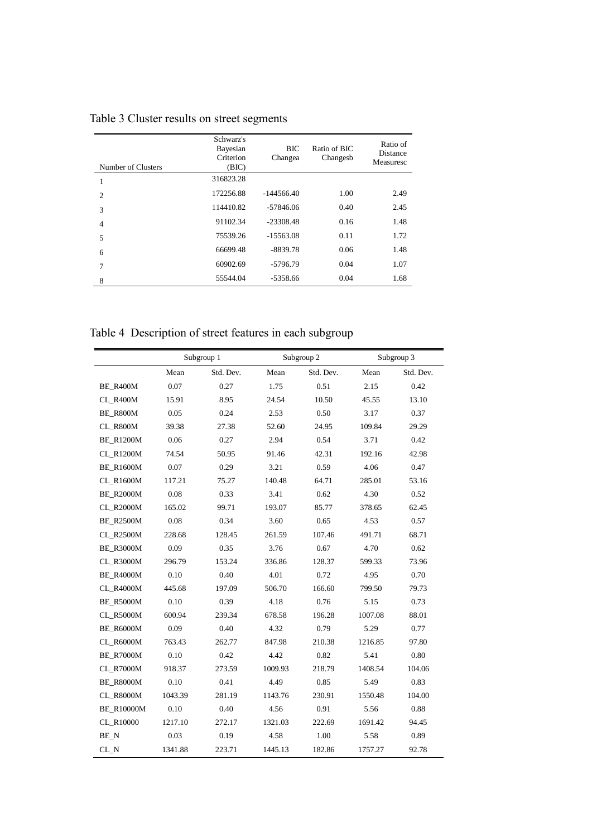| Number of Clusters | Schwarz's<br>Bayesian<br>Criterion<br>(BIC) | <b>BIC</b><br>Changea | Ratio of BIC<br>Changesb | Ratio of<br>Distance<br>Measuresc |
|--------------------|---------------------------------------------|-----------------------|--------------------------|-----------------------------------|
| 1                  | 316823.28                                   |                       |                          |                                   |
| $\overline{2}$     | 172256.88                                   | $-144566.40$          | 1.00                     | 2.49                              |
| 3                  | 114410.82                                   | $-57846.06$           | 0.40                     | 2.45                              |
| $\overline{4}$     | 91102.34                                    | $-23308.48$           | 0.16                     | 1.48                              |
| 5                  | 75539.26                                    | $-15563.08$           | 0.11                     | 1.72                              |
| 6                  | 66699.48                                    | $-8839.78$            | 0.06                     | 1.48                              |
| 7                  | 60902.69                                    | $-5796.79$            | 0.04                     | 1.07                              |
| 8                  | 55544.04                                    | $-5358.66$            | 0.04                     | 1.68                              |

Table 3 Cluster results on street segments

Table 4 Description of street features in each subgroup

|                   |         | Subgroup 1 |         | Subgroup 2 |         | Subgroup 3 |
|-------------------|---------|------------|---------|------------|---------|------------|
|                   | Mean    | Std. Dev.  | Mean    | Std. Dev.  | Mean    | Std. Dev.  |
| <b>BE R400M</b>   | 0.07    | 0.27       | 1.75    | 0.51       | 2.15    | 0.42       |
| CL_R400M          | 15.91   | 8.95       | 24.54   | 10.50      | 45.55   | 13.10      |
| <b>BE R800M</b>   | 0.05    | 0.24       | 2.53    | 0.50       | 3.17    | 0.37       |
| CL_R800M          | 39.38   | 27.38      | 52.60   | 24.95      | 109.84  | 29.29      |
| <b>BE_R1200M</b>  | 0.06    | 0.27       | 2.94    | 0.54       | 3.71    | 0.42       |
| <b>CL_R1200M</b>  | 74.54   | 50.95      | 91.46   | 42.31      | 192.16  | 42.98      |
| <b>BE R1600M</b>  | 0.07    | 0.29       | 3.21    | 0.59       | 4.06    | 0.47       |
| <b>CL_R1600M</b>  | 117.21  | 75.27      | 140.48  | 64.71      | 285.01  | 53.16      |
| <b>BE_R2000M</b>  | 0.08    | 0.33       | 3.41    | 0.62       | 4.30    | 0.52       |
| <b>CL_R2000M</b>  | 165.02  | 99.71      | 193.07  | 85.77      | 378.65  | 62.45      |
| <b>BE R2500M</b>  | 0.08    | 0.34       | 3.60    | 0.65       | 4.53    | 0.57       |
| <b>CL_R2500M</b>  | 228.68  | 128.45     | 261.59  | 107.46     | 491.71  | 68.71      |
| <b>BE_R3000M</b>  | 0.09    | 0.35       | 3.76    | 0.67       | 4.70    | 0.62       |
| <b>CL_R3000M</b>  | 296.79  | 153.24     | 336.86  | 128.37     | 599.33  | 73.96      |
| <b>BE R4000M</b>  | 0.10    | 0.40       | 4.01    | 0.72       | 4.95    | 0.70       |
| <b>CL_R4000M</b>  | 445.68  | 197.09     | 506.70  | 166.60     | 799.50  | 79.73      |
| <b>BE_R5000M</b>  | 0.10    | 0.39       | 4.18    | 0.76       | 5.15    | 0.73       |
| <b>CL R5000M</b>  | 600.94  | 239.34     | 678.58  | 196.28     | 1007.08 | 88.01      |
| <b>BE_R6000M</b>  | 0.09    | 0.40       | 4.32    | 0.79       | 5.29    | 0.77       |
| <b>CL_R6000M</b>  | 763.43  | 262.77     | 847.98  | 210.38     | 1216.85 | 97.80      |
| <b>BE_R7000M</b>  | 0.10    | 0.42       | 4.42    | 0.82       | 5.41    | 0.80       |
| <b>CL R7000M</b>  | 918.37  | 273.59     | 1009.93 | 218.79     | 1408.54 | 104.06     |
| <b>BE_R8000M</b>  | 0.10    | 0.41       | 4.49    | 0.85       | 5.49    | 0.83       |
| <b>CL_R8000M</b>  | 1043.39 | 281.19     | 1143.76 | 230.91     | 1550.48 | 104.00     |
| <b>BE_R10000M</b> | 0.10    | 0.40       | 4.56    | 0.91       | 5.56    | 0.88       |
| CL_R10000         | 1217.10 | 272.17     | 1321.03 | 222.69     | 1691.42 | 94.45      |
| BE_N              | 0.03    | 0.19       | 4.58    | 1.00       | 5.58    | 0.89       |
| CL N              | 1341.88 | 223.71     | 1445.13 | 182.86     | 1757.27 | 92.78      |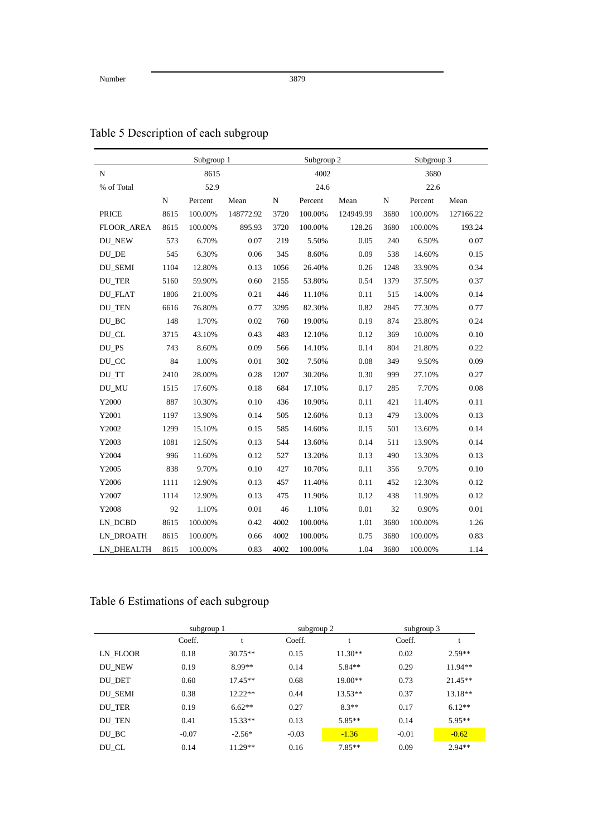|                |           | Subgroup 1 |           |           | Subgroup 2 |           |           | Subgroup 3 |           |
|----------------|-----------|------------|-----------|-----------|------------|-----------|-----------|------------|-----------|
| $\mathbf N$    |           | 8615       |           |           | 4002       |           |           | 3680       |           |
| % of Total     |           | 52.9       |           |           | 24.6       |           |           | 22.6       |           |
|                | ${\bf N}$ | Percent    | Mean      | ${\bf N}$ | Percent    | Mean      | ${\bf N}$ | Percent    | Mean      |
| <b>PRICE</b>   | 8615      | 100.00%    | 148772.92 | 3720      | 100.00%    | 124949.99 | 3680      | 100.00%    | 127166.22 |
| FLOOR_AREA     | 8615      | 100.00%    | 895.93    | 3720      | 100.00%    | 128.26    | 3680      | 100.00%    | 193.24    |
| <b>DU_NEW</b>  | 573       | 6.70%      | 0.07      | 219       | 5.50%      | 0.05      | 240       | 6.50%      | 0.07      |
| DU_DE          | 545       | 6.30%      | 0.06      | 345       | 8.60%      | 0.09      | 538       | 14.60%     | 0.15      |
| DU SEMI        | 1104      | 12.80%     | 0.13      | 1056      | 26.40%     | 0.26      | 1248      | 33.90%     | 0.34      |
| <b>DU_TER</b>  | 5160      | 59.90%     | 0.60      | 2155      | 53.80%     | 0.54      | 1379      | 37.50%     | 0.37      |
| <b>DU_FLAT</b> | 1806      | 21.00%     | 0.21      | 446       | 11.10%     | 0.11      | 515       | 14.00%     | 0.14      |
| DU TEN         | 6616      | 76.80%     | 0.77      | 3295      | 82.30%     | 0.82      | 2845      | 77.30%     | 0.77      |
| DU_BC          | 148       | 1.70%      | 0.02      | 760       | 19.00%     | 0.19      | 874       | 23.80%     | 0.24      |
| DU_CL          | 3715      | 43.10%     | 0.43      | 483       | 12.10%     | 0.12      | 369       | 10.00%     | 0.10      |
| DU PS          | 743       | 8.60%      | 0.09      | 566       | 14.10%     | 0.14      | 804       | 21.80%     | 0.22      |
| DU_CC          | 84        | 1.00%      | 0.01      | 302       | 7.50%      | 0.08      | 349       | 9.50%      | 0.09      |
| DU_TT          | 2410      | 28.00%     | 0.28      | 1207      | 30.20%     | 0.30      | 999       | 27.10%     | 0.27      |
| DU MU          | 1515      | 17.60%     | 0.18      | 684       | 17.10%     | 0.17      | 285       | 7.70%      | 0.08      |
| Y2000          | 887       | 10.30%     | 0.10      | 436       | 10.90%     | 0.11      | 421       | 11.40%     | 0.11      |
| Y2001          | 1197      | 13.90%     | 0.14      | 505       | 12.60%     | 0.13      | 479       | 13.00%     | 0.13      |
| Y2002          | 1299      | 15.10%     | 0.15      | 585       | 14.60%     | 0.15      | 501       | 13.60%     | 0.14      |
| Y2003          | 1081      | 12.50%     | 0.13      | 544       | 13.60%     | 0.14      | 511       | 13.90%     | 0.14      |
| Y2004          | 996       | 11.60%     | 0.12      | 527       | 13.20%     | 0.13      | 490       | 13.30%     | 0.13      |
| Y2005          | 838       | 9.70%      | 0.10      | 427       | 10.70%     | 0.11      | 356       | 9.70%      | 0.10      |
| Y2006          | 1111      | 12.90%     | 0.13      | 457       | 11.40%     | 0.11      | 452       | 12.30%     | 0.12      |
| Y2007          | 1114      | 12.90%     | 0.13      | 475       | 11.90%     | 0.12      | 438       | 11.90%     | 0.12      |
| Y2008          | 92        | 1.10%      | 0.01      | 46        | 1.10%      | 0.01      | 32        | 0.90%      | 0.01      |
| LN DCBD        | 8615      | 100.00%    | 0.42      | 4002      | 100.00%    | 1.01      | 3680      | 100.00%    | 1.26      |
| LN DROATH      | 8615      | 100.00%    | 0.66      | 4002      | 100.00%    | 0.75      | 3680      | 100.00%    | 0.83      |
| LN DHEALTH     | 8615      | 100.00%    | 0.83      | 4002      | 100.00%    | 1.04      | 3680      | 100.00%    | 1.14      |

## Table 5 Description of each subgroup

## Table 6 Estimations of each subgroup

|          | subgroup 1 |           | subgroup 2 |           | subgroup 3 |           |
|----------|------------|-----------|------------|-----------|------------|-----------|
|          | Coeff.     | t         | Coeff.     |           | Coeff.     |           |
| LN FLOOR | 0.18       | $30.75**$ | 0.15       | $11.30**$ | 0.02       | $2.59**$  |
| DU NEW   | 0.19       | 8.99**    | 0.14       | $5.84**$  | 0.29       | $11.94**$ |
| DU DET   | 0.60       | $17.45**$ | 0.68       | $19.00**$ | 0.73       | $21.45**$ |
| DU SEMI  | 0.38       | $12.22**$ | 0.44       | $13.53**$ | 0.37       | $13.18**$ |
| DU TER   | 0.19       | $6.62**$  | 0.27       | $8.3**$   | 0.17       | $6.12**$  |
| DU TEN   | 0.41       | $15.33**$ | 0.13       | $5.85**$  | 0.14       | $5.95**$  |
| DU BC    | $-0.07$    | $-2.56*$  | $-0.03$    | $-1.36$   | $-0.01$    | $-0.62$   |
| DU CL    | 0.14       | $11.29**$ | 0.16       | $7.85**$  | 0.09       | $2.94**$  |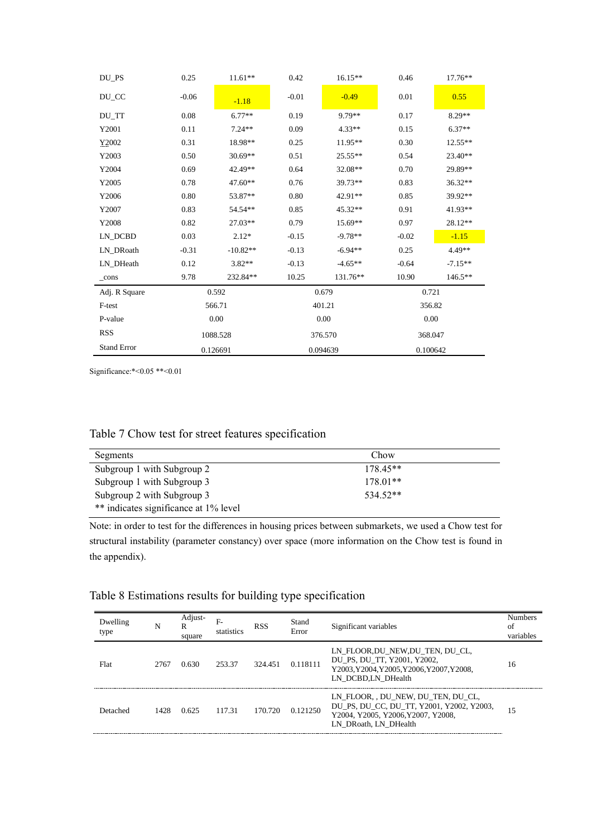| DU_PS              | 0.25    | $11.61**$  | 0.42    | $16.15**$ | 0.46     | $17.76**$ |
|--------------------|---------|------------|---------|-----------|----------|-----------|
| DU_CC              | $-0.06$ | $-1.18$    | $-0.01$ | $-0.49$   | 0.01     | 0.55      |
| DU_TT              | 0.08    | $6.77**$   | 0.19    | 9.79**    | 0.17     | 8.29**    |
| Y2001              | 0.11    | $7.24**$   | 0.09    | $4.33**$  | 0.15     | $6.37**$  |
| Y2002              | 0.31    | 18.98**    | 0.25    | $11.95**$ | 0.30     | $12.55**$ |
| Y2003              | 0.50    | $30.69**$  | 0.51    | $25.55**$ | 0.54     | $23.40**$ |
| Y2004              | 0.69    | 42.49**    | 0.64    | 32.08**   | 0.70     | 29.89**   |
| Y2005              | 0.78    | $47.60**$  | 0.76    | $39.73**$ | 0.83     | $36.32**$ |
| Y2006              | 0.80    | 53.87**    | 0.80    | 42.91**   | 0.85     | 39.92**   |
| Y2007              | 0.83    | 54.54**    | 0.85    | $45.32**$ | 0.91     | $41.93**$ |
| Y2008              | 0.82    | 27.03**    | 0.79    | 15.69**   | 0.97     | 28.12**   |
| LN DCBD            | 0.03    | $2.12*$    | $-0.15$ | $-9.78**$ | $-0.02$  | $-1.15$   |
| LN_DRoath          | $-0.31$ | $-10.82**$ | $-0.13$ | $-6.94**$ | 0.25     | 4.49**    |
| LN DHeath          | 0.12    | $3.82**$   | $-0.13$ | $-4.65**$ | $-0.64$  | $-7.15**$ |
| $_{\rm cons}$      | 9.78    | 232.84**   | 10.25   | 131.76**  | 10.90    | $146.5**$ |
| Adj. R Square      |         | 0.592      |         | 0.679     | 0.721    |           |
| F-test             |         | 566.71     |         | 401.21    | 356.82   |           |
| P-value            |         | 0.00       |         | 0.00      | 0.00     |           |
| <b>RSS</b>         |         | 1088.528   |         | 376.570   | 368.047  |           |
| <b>Stand Error</b> |         | 0.126691   |         | 0.094639  | 0.100642 |           |

Significance:\*<0.05 \*\*<0.01

#### Table 7 Chow test for street features specification

| Segments                              | Chow       |  |
|---------------------------------------|------------|--|
| Subgroup 1 with Subgroup 2            | $178.45**$ |  |
| Subgroup 1 with Subgroup 3            | $178.01**$ |  |
| Subgroup 2 with Subgroup 3            | $534.52**$ |  |
| ** indicates significance at 1% level |            |  |

Note: in order to test for the differences in housing prices between submarkets, we used a Chow test for structural instability (parameter constancy) over space (more information on the Chow test is found in the appendix).

| Table 8 Estimations results for building type specification |  |
|-------------------------------------------------------------|--|
|                                                             |  |

| Dwelling<br>type |       | square | r-<br>statistics | <b>RSS</b> | Stand<br>Error | Significant variables                                                                                                                        | Numbers<br>of<br>variables |
|------------------|-------|--------|------------------|------------|----------------|----------------------------------------------------------------------------------------------------------------------------------------------|----------------------------|
| Flat             | 2767  | 0.630  | 253.37           | 324451     | 0.118111       | LN FLOOR,DU NEW,DU TEN, DU CL,<br>DU PS, DU TT, Y2001, Y2002,<br>Y2003, Y2004, Y2005, Y2006, Y2007, Y2008,<br>LN DCBD, LN DHealth            | 16                         |
| Detached         | 1428. | 0.625  | 117.31           | 170.720    | 0.121250       | LN FLOOR, DU NEW, DU TEN, DU CL,<br>DU_PS, DU_CC, DU_TT, Y2001, Y2002, Y2003,<br>Y2004, Y2005, Y2006, Y2007, Y2008,<br>LN DRoath, LN DHealth | 15                         |